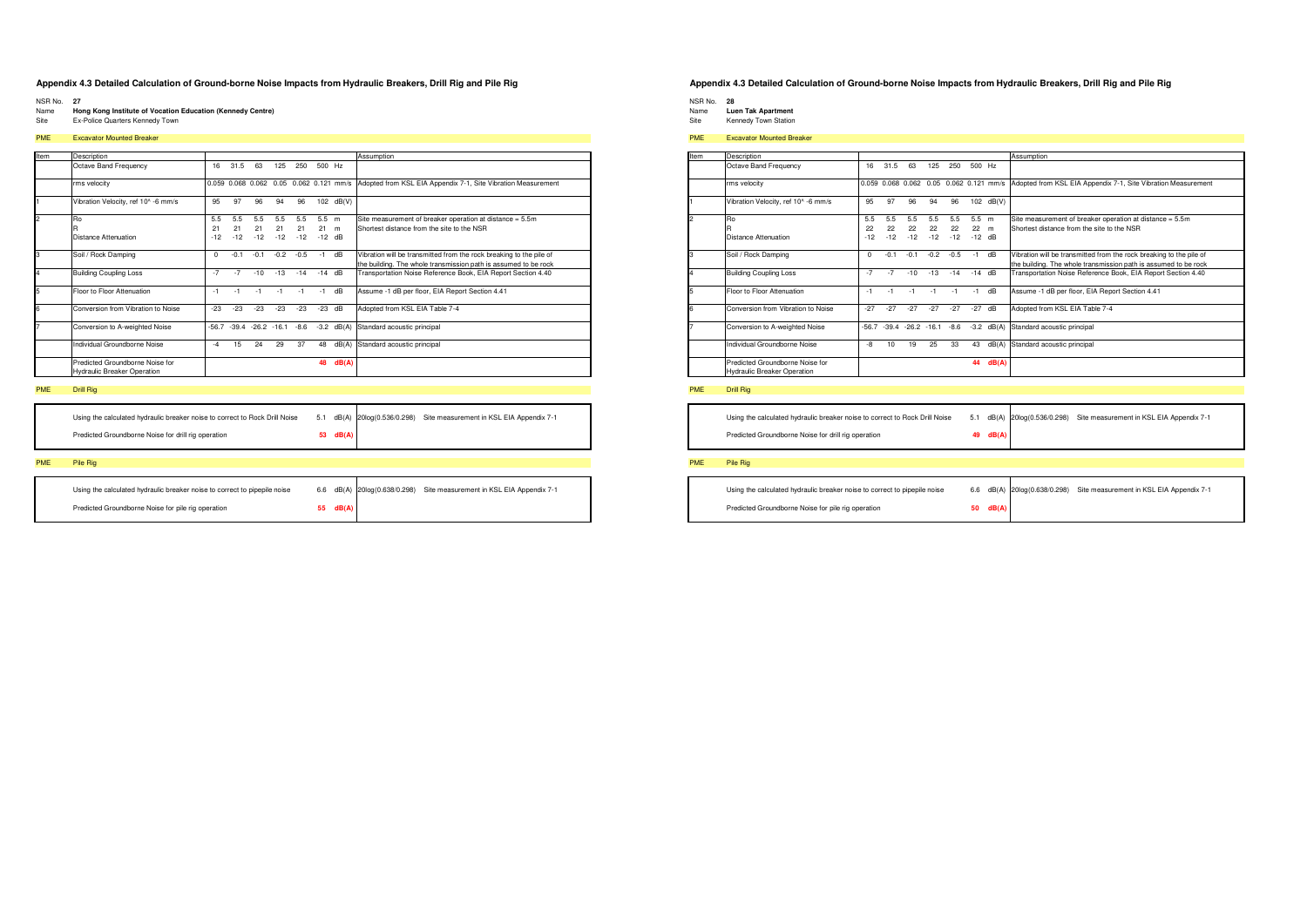- NSR No. 27
- Name Hong Kong Institute of Vocation Education (Kennedy Centre)
- Site Ex-Police Quarters Kennedy Town

### PME Excavator Mounted Breaker

| Item | Description                                                           |          |        |                     |        |        |         |                                         | Assumption                                                          |
|------|-----------------------------------------------------------------------|----------|--------|---------------------|--------|--------|---------|-----------------------------------------|---------------------------------------------------------------------|
|      | Octave Band Frequency                                                 | 16       | 31.5   | 63                  | 125    | 250    | 500 Hz  |                                         |                                                                     |
|      | rms velocity                                                          |          |        |                     |        |        |         | 0.059 0.068 0.062 0.05 0.062 0.121 mm/s | Adopted from KSL EIA Appendix 7-1, Site Vibration Measurement       |
|      | Vibration Velocity, ref 10^ -6 mm/s                                   | 95       | 97     | 96                  | 94     | 96     | 102     | dB(V)                                   |                                                                     |
|      | Ro                                                                    | 5.5      | 5.5    | 5.5                 | 5.5    | 5.5    | $5.5$ m |                                         | Site measurement of breaker operation at distance = 5.5m            |
|      |                                                                       | 21       | 21     | 21                  | 21     | 21     | 21      | m                                       | Shortest distance from the site to the NSR                          |
|      | Distance Attenuation                                                  | $-12$    | $-12$  | $-12$               | $-12$  | $-12$  | $-12$   | dB                                      |                                                                     |
|      | Soil / Rock Damping                                                   | $\Omega$ | $-0.1$ | $-0.1$              | $-0.2$ | $-0.5$ | $-1$    | dB                                      | Vibration will be transmitted from the rock breaking to the pile of |
|      |                                                                       |          |        |                     |        |        |         |                                         | the building. The whole transmission path is assumed to be rock     |
|      | <b>Building Coupling Loss</b>                                         | $-7$     | $-7$   | $-10$               | $-13$  | $-14$  | $-14$   | dB                                      | Transportation Noise Reference Book, EIA Report Section 4.40        |
|      | Floor to Floor Attenuation                                            | $-1$     | $-1$   | $-1$                | $-1$   | $-1$   | $-1$    | dB                                      | Assume -1 dB per floor, EIA Report Section 4.41                     |
| ĥ    | Conversion from Vibration to Noise                                    | $-23$    | $-23$  | $-23$               | $-23$  | $-23$  | $-23$   | dB                                      | Adopted from KSL EIA Table 7-4                                      |
|      | Conversion to A-weighted Noise                                        | $-56.7$  |        | $-39.4 -26.2 -16.1$ |        | $-8.6$ | $-3.2$  | dB(A)                                   | Standard acoustic principal                                         |
|      | Individual Groundborne Noise                                          | $-4$     | 15     | 24                  | 29     | 37     | 48      | dB(A)                                   | Standard acoustic principal                                         |
|      | Predicted Groundborne Noise for<br><b>Hydraulic Breaker Operation</b> |          |        |                     |        |        | 48      | dB(A)                                   |                                                                     |

### **PME** Drill Rig

| Using the calculated hydraulic breaker noise to correct to Rock Drill Noise |          | 5.1 dB(A) 20log(0.536/0.298) | Site measurement in KSL EIA Appendix 7-1 |
|-----------------------------------------------------------------------------|----------|------------------------------|------------------------------------------|
| Predicted Groundborne Noise for drill rig operation                         | 53 dB(A) |                              |                                          |
|                                                                             |          |                              |                                          |

### PME Pile Rig

| Using the calculated hydraulic breaker noise to correct to pipepile noise |          | 6.6 dB(A) 20log(0.638/0.298) Site measurement in KSL EIA Appendix 7-1 |
|---------------------------------------------------------------------------|----------|-----------------------------------------------------------------------|
| Predicted Groundborne Noise for pile rig operation                        | 55 dB(A) |                                                                       |

### Appendix 4.3 Detailed Calculation of Ground-borne Noise Impacts from Hydraulic Breakers, Drill Rig and Pile Rig

NSR No. 28<br>Name Luen Tak Apartment

- 
- Site Kennedy Town Station

### **PME** Excavator Mounted Breaker

| Item     | Description                                                           |                    |                    |                    |                     |                    |                           |       | Assumption                                                                                                                             |
|----------|-----------------------------------------------------------------------|--------------------|--------------------|--------------------|---------------------|--------------------|---------------------------|-------|----------------------------------------------------------------------------------------------------------------------------------------|
|          | Octave Band Frequency                                                 | 16                 | 31.5               | 63                 | 125                 | 250                | 500 Hz                    |       |                                                                                                                                        |
|          | rms velocity                                                          |                    |                    |                    |                     |                    |                           |       | 0.059 0.068 0.062 0.05 0.062 0.121 mm/s Adopted from KSL EIA Appendix 7-1, Site Vibration Measurement                                  |
|          | Vibration Velocity, ref 10^ -6 mm/s                                   | 95                 | 97                 | 96                 | 94                  | 96                 | 102                       | dB(V) |                                                                                                                                        |
| 2        | Ro<br><b>Distance Attenuation</b>                                     | 5.5<br>22<br>$-12$ | 5.5<br>22<br>$-12$ | 5.5<br>22<br>$-12$ | 5.5<br>22<br>$-12$  | 5.5<br>22<br>$-12$ | $5.5$ m<br>22<br>$-12$ dB | m     | Site measurement of breaker operation at distance = 5.5m<br>Shortest distance from the site to the NSR                                 |
| 3        | Soil / Rock Damping                                                   | $\Omega$           | $-0.1$             | $-0.1$             | $-0.2$              | $-0.5$             | $-1$                      | dB    | Vibration will be transmitted from the rock breaking to the pile of<br>the building. The whole transmission path is assumed to be rock |
| l4       | <b>Building Coupling Loss</b>                                         | $-7$               | $-7$               | $-10$              | $-13$               | $-14$              | $-14$ dB                  |       | Transportation Noise Reference Book, EIA Report Section 4.40                                                                           |
| 5        | Floor to Floor Attenuation                                            | $-1$               | $-1$               | $-1$               | $-1$                | $-1$               | $-1$                      | dB    | Assume -1 dB per floor, EIA Report Section 4.41                                                                                        |
| <b>G</b> | Conversion from Vibration to Noise                                    | $-27$              | $-27$              | $-27$              | $-27$               | $-27$              | $-27$                     | dB    | Adopted from KSL EIA Table 7-4                                                                                                         |
|          | Conversion to A-weighted Noise                                        | $-56.7$            |                    |                    | $-39.4 -26.2 -16.1$ | $-8.6$             | $-3.2$                    | dB(A) | Standard acoustic principal                                                                                                            |
|          | Individual Groundborne Noise                                          | -8                 | 10                 | 19                 | 25                  | 33                 | 43                        | dB(A) | Standard acoustic principal                                                                                                            |
|          | Predicted Groundborne Noise for<br><b>Hydraulic Breaker Operation</b> |                    |                    |                    |                     |                    | 44                        | dB(A) |                                                                                                                                        |

### PME Drill Rig

5.1 dB(A) 20log(0.536/0.298) Site measurement in KSL EIA Appendix 7-1 Using the calculated hydraulic breaker noise to correct to Rock Drill Noise 49  $dB$ 

Predicted Groundborne Noise for drill rig operation

| Using the calculated hydraulic breaker noise to correct to pipepile noise |          | 6.6 dB(A) 20log(0.638/0.298) | Site measurement in KSL EIA Appendix 7-1 |
|---------------------------------------------------------------------------|----------|------------------------------|------------------------------------------|
| Predicted Groundborne Noise for pile rig operation                        | 50 dB(A) |                              |                                          |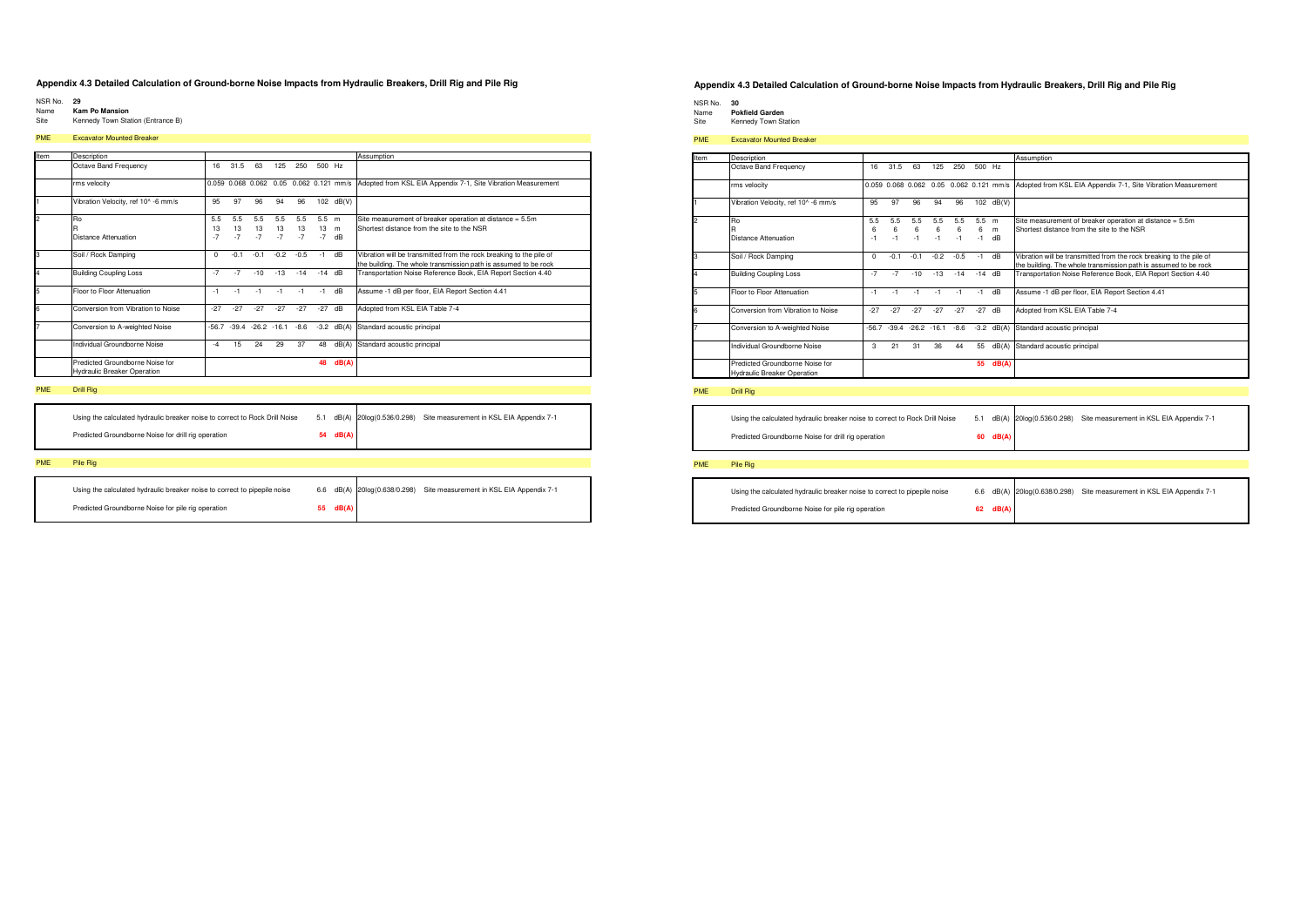- NSR No. 29
- Name **Kam Po Mansion**
- Site Kennedy Town Station (Entrance B)

### PME Excavator Mounted Breaker

| Item | Description                                                           |                   |                   |                                         |                   |                   |                       |         | Assumption                                                                                                                             |
|------|-----------------------------------------------------------------------|-------------------|-------------------|-----------------------------------------|-------------------|-------------------|-----------------------|---------|----------------------------------------------------------------------------------------------------------------------------------------|
|      | Octave Band Frequency                                                 | 16                | 31.5              | 63                                      | 125               | 250               | 500 Hz                |         |                                                                                                                                        |
|      | rms velocity                                                          |                   |                   | 0.059 0.068 0.062 0.05 0.062 0.121 mm/s |                   |                   |                       |         | Adopted from KSL EIA Appendix 7-1, Site Vibration Measurement                                                                          |
|      | Vibration Velocity, ref 10^ -6 mm/s                                   | 95                | 97                | 96                                      | 94                | 96                | 102                   | dB(V)   |                                                                                                                                        |
| 2    | Ro<br>Distance Attenuation                                            | 5.5<br>13<br>$-7$ | 5.5<br>13<br>$-7$ | 5.5<br>13<br>$-7$                       | 5.5<br>13<br>$-7$ | 5.5<br>13<br>$-7$ | $5.5$ m<br>13<br>$-7$ | m<br>dB | Site measurement of breaker operation at distance = 5.5m<br>Shortest distance from the site to the NSR                                 |
| 3    | Soil / Rock Damping                                                   | $\Omega$          | $-0.1$            | $-0.1$                                  | $-0.2$            | $-0.5$            | $-1$                  | dB      | Vibration will be transmitted from the rock breaking to the pile of<br>the building. The whole transmission path is assumed to be rock |
| 4    | <b>Building Coupling Loss</b>                                         | $-7$              | $-7$              | $-10$                                   | $-13$             | $-14$             | $-14$ dB              |         | Transportation Noise Reference Book, EIA Report Section 4.40                                                                           |
| 5    | Floor to Floor Attenuation                                            | $-1$              | $-1$              | $-1$                                    | $-1$              | $-1$              | $-1$                  | dB      | Assume -1 dB per floor, EIA Report Section 4.41                                                                                        |
| 6    | Conversion from Vibration to Noise                                    | $-27$             | $-27$             | $-27$                                   | $-27$             | $-27$             | $-27$                 | dB      | Adopted from KSL EIA Table 7-4                                                                                                         |
|      | Conversion to A-weighted Noise                                        | $-56.7$           | $-39.4$           | $-26.2 - 16.1$                          |                   | $-8.6$            | $-3.2$                | dB(A)   | Standard acoustic principal                                                                                                            |
|      | Individual Groundborne Noise                                          | $-4$              | 15                | 24                                      | 29                | 37                | 48                    | dB(A)   | Standard acoustic principal                                                                                                            |
|      | Predicted Groundborne Noise for<br><b>Hydraulic Breaker Operation</b> |                   |                   |                                         |                   |                   | 48                    | dB(A)   |                                                                                                                                        |

### PME Drill Rig

| Using the calculated hydraulic breaker noise to correct to Rock Drill Noise |          | 5.1 dB(A) 20log(0.536/0.298) | Site measurement in KSL EIA Appendix 7-1 |
|-----------------------------------------------------------------------------|----------|------------------------------|------------------------------------------|
| Predicted Groundborne Noise for drill rig operation                         | 54 dB(A) |                              |                                          |
|                                                                             |          |                              |                                          |

### **PMF** Pile Rig

| Using the calculated hydraulic breaker noise to correct to pipepile noise |    |       | 6.6 dB(A) 20log(0.638/0.298) Site measurement in KSL EIA Appendix 7-1 |
|---------------------------------------------------------------------------|----|-------|-----------------------------------------------------------------------|
| Predicted Groundborne Noise for pile rig operation                        | 55 | dB(A) |                                                                       |

### Appendix 4.3 Detailed Calculation of Ground-borne Noise Impacts from Hydraulic Breakers, Drill Rig and Pile Rig

- NSR No. 30<br>Name **Pokfield Garden**
- Site Kennedy Town Station

#### PME Excavator Mounted Breaker

| Item           | Description                         |          |                     |        |        |        |          |                        | Assumption                                                          |
|----------------|-------------------------------------|----------|---------------------|--------|--------|--------|----------|------------------------|---------------------------------------------------------------------|
|                | Octave Band Frequency               | 16       | 31.5                | 63     | 125    | 250    | 500 Hz   |                        |                                                                     |
|                | rms velocity                        |          | 0.059 0.068 0.062   |        |        |        |          | 0.05 0.062 0.121 mm/s  | Adopted from KSL EIA Appendix 7-1, Site Vibration Measurement       |
|                | Vibration Velocity, ref 10^ -6 mm/s | 95       | 97                  | 96     | 94     | 96     | 102      | dB(V)                  |                                                                     |
| $\mathfrak{p}$ | Ro                                  | 5.5      | 5.5                 | 5.5    | 5.5    | 5.5    | 5.5 m    |                        | Site measurement of breaker operation at distance = 5.5m            |
|                |                                     | 6        | 6                   | 6      | 6      | 6      | 6        | m                      | Shortest distance from the site to the NSR                          |
|                | Distance Attenuation                | $-1$     | $-1$                | $-1$   | $-1$   | $-1$   | $-1$     | $\mathsf{d}\mathsf{B}$ |                                                                     |
| 3              | Soil / Rock Damping                 | $\Omega$ | $-0.1$              | $-0.1$ | $-0.2$ | $-0.5$ | $-1$ dB  |                        | Vibration will be transmitted from the rock breaking to the pile of |
|                |                                     |          |                     |        |        |        |          |                        | the building. The whole transmission path is assumed to be rock     |
| 4              | <b>Building Coupling Loss</b>       | $-7$     | $-7$                | $-10$  | $-13$  | $-14$  | $-14$ dB |                        | Transportation Noise Reference Book, EIA Report Section 4.40        |
| 5              | Floor to Floor Attenuation          | $-1$     | $-1$                | $-1$   |        | $-1$   | $-1$     | dB                     | Assume -1 dB per floor, EIA Report Section 4.41                     |
| 6              | Conversion from Vibration to Noise  | $-27$    | $-27$               | $-27$  | $-27$  | $-27$  | $-27$    | dB                     | Adopted from KSL EIA Table 7-4                                      |
| $\overline{7}$ | Conversion to A-weighted Noise      | -56.7    | $-39.4 -26.2 -16.1$ |        |        | $-8.6$ |          | $-3.2$ dB(A)           | Standard acoustic principal                                         |
|                | Individual Groundborne Noise        | 3        | 21                  | 31     | 36     | 44     | 55       | dB(A)                  | Standard acoustic principal                                         |
|                | Predicted Groundborne Noise for     |          |                     |        |        |        | 55       | dB(A)                  |                                                                     |
|                | <b>Hydraulic Breaker Operation</b>  |          |                     |        |        |        |          |                        |                                                                     |

#### PME Drill Rig

Using the calculated hydraulic breaker noise to correct to Rock Drill Noise 5.1 dB(A) 20log(0.536/0.298) Site measurement in KSL EIA Appendix 7-1

Predicted Groundborne Noise for drill rig operation

#### PME Pile Rig

| Using the calculated hydraulic breaker noise to correct to pipepile noise |          | 6.6 dB(A) 20log(0.638/0.298) Site measurement in KSL EIA Appendix 7-1 |
|---------------------------------------------------------------------------|----------|-----------------------------------------------------------------------|
| Predicted Groundborne Noise for pile rig operation                        | 62 dB(A) |                                                                       |

 $60$  dB(A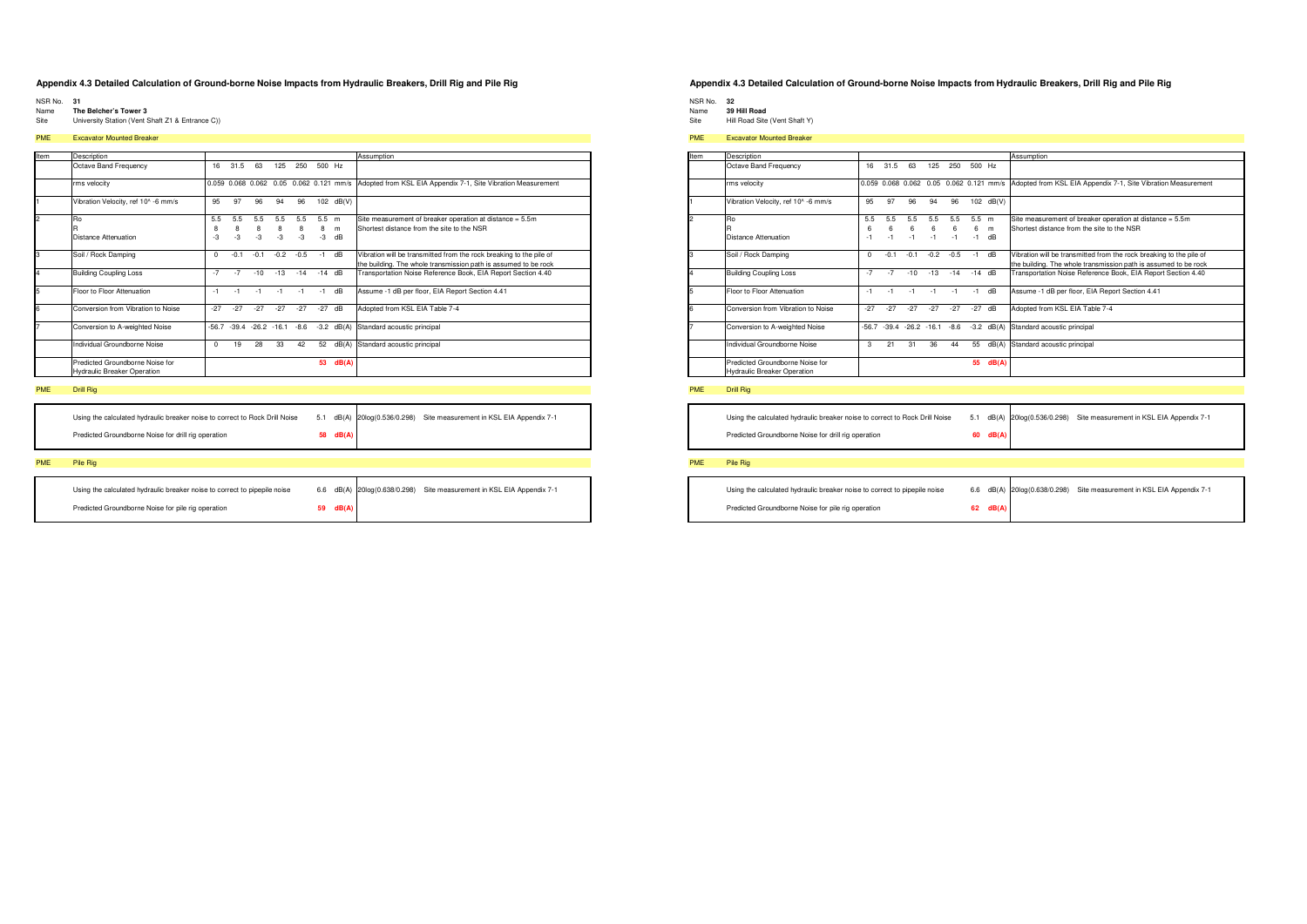- NSR No. 31<br>Name The Belcher's Tower 3
- Site University Station (Vent Shaft Z1 & Entrance C))
- 

### **PME** Excavator Mounted Breaker

| Item          | Description                                                           |          |        |                     |        |        |          |       | Assumption                                                                          |
|---------------|-----------------------------------------------------------------------|----------|--------|---------------------|--------|--------|----------|-------|-------------------------------------------------------------------------------------|
|               | Octave Band Frequency                                                 | 16       | 31.5   | 63                  | 125    | 250    | 500 Hz   |       |                                                                                     |
|               | rms velocity                                                          |          |        | 0.059 0.068 0.062   |        |        |          |       | 0.05 0.062 0.121 mm/s Adopted from KSL EIA Appendix 7-1, Site Vibration Measurement |
|               | Vibration Velocity, ref 10^ -6 mm/s                                   | 95       | 97     | 96                  | 94     | 96     | 102      | dB(V) |                                                                                     |
| $\mathcal{P}$ | Ro                                                                    | 5.5      | 5.5    | 5.5                 | 5.5    | 5.5    | $5.5$ m  |       | Site measurement of breaker operation at distance = 5.5m                            |
|               |                                                                       | 8        | 8      | 8                   | 8      | 8      | 8        | m     | Shortest distance from the site to the NSR                                          |
|               | Distance Attenuation                                                  | $-3$     | $-3$   | $-3$                | $-3$   | $-3$   | -3       | dB    |                                                                                     |
| 3             | Soil / Rock Damping                                                   | o        | $-0.1$ | $-0.1$              | $-0.2$ | $-0.5$ | $-1$     | dB    | Vibration will be transmitted from the rock breaking to the pile of                 |
|               |                                                                       |          |        |                     |        |        |          |       | the building. The whole transmission path is assumed to be rock                     |
| 4             | <b>Building Coupling Loss</b>                                         | $-7$     | $-7$   | $-10$               | $-13$  | $-14$  | $-14$ dB |       | Transportation Noise Reference Book, EIA Report Section 4.40                        |
| 5             | Floor to Floor Attenuation                                            | $-1$     | $-1$   | $-1$                | $-1$   | $-1$   | $-1$     | dB    | Assume -1 dB per floor, EIA Report Section 4.41                                     |
| 6             | Conversion from Vibration to Noise                                    | $-27$    | $-27$  | $-27$               | $-27$  | $-27$  | $-27$    | dB    | Adopted from KSL EIA Table 7-4                                                      |
|               | Conversion to A-weighted Noise                                        | $-56.7$  |        | $-39.4 -26.2 -16.1$ |        | $-8.6$ | $-3.2$   | dB(A) | Standard acoustic principal                                                         |
|               | Individual Groundborne Noise                                          | $\Omega$ | 19     | 28                  | 33     | 42     | 52       | dB(A) | Standard acoustic principal                                                         |
|               | Predicted Groundborne Noise for<br><b>Hydraulic Breaker Operation</b> |          |        |                     |        |        | 53       | dB(A) |                                                                                     |

### **PME** Drill Rig

| Using the calculated hydraulic breaker noise to correct to Rock Drill Noise |          | 5.1 dB(A) 20log(0.536/0.298) | Site measurement in KSL EIA Appendix 7-1 |
|-----------------------------------------------------------------------------|----------|------------------------------|------------------------------------------|
| Predicted Groundborne Noise for drill rig operation                         | 58 dB(A) |                              |                                          |
|                                                                             |          |                              |                                          |

### PME Pile Rig

| Using the calculated hydraulic breaker noise to correct to pipepile noise |          | 6.6 dB(A) 20log(0.638/0.298) Site measurement in KSL EIA Appendix 7-1 |
|---------------------------------------------------------------------------|----------|-----------------------------------------------------------------------|
| Predicted Groundborne Noise for pile rig operation                        | 59 dB(A) |                                                                       |

### Appendix 4.3 Detailed Calculation of Ground-borne Noise Impacts from Hydraulic Breakers, Drill Rig and Pile Rig

NSR No. 32<br>Name 39 Hill Road

- Site Hill Road Site (Vent Shaft Y)
- 

### **PME** Excavator Mounted Breaker

| Item           | Description                                                           |                |                  |                     |                  |                  |                      |                                         | Assumption                                                                                                                             |
|----------------|-----------------------------------------------------------------------|----------------|------------------|---------------------|------------------|------------------|----------------------|-----------------------------------------|----------------------------------------------------------------------------------------------------------------------------------------|
|                | Octave Band Frequency                                                 | 16             | 31.5             | 63                  | 125              | 250              | 500 Hz               |                                         |                                                                                                                                        |
|                | rms velocity                                                          |                |                  |                     |                  |                  |                      | 0.059 0.068 0.062 0.05 0.062 0.121 mm/s | Adopted from KSL EIA Appendix 7-1, Site Vibration Measurement                                                                          |
|                | Vibration Velocity, ref 10^ -6 mm/s                                   | 95             | 97               | 96                  | 94               | 96               | 102                  | dB(V)                                   |                                                                                                                                        |
| $\overline{2}$ | Ro<br>Distance Attenuation                                            | 5.5<br>6<br>-1 | 5.5<br>6<br>$-1$ | 5.5<br>6<br>$-1$    | 5.5<br>6<br>$-1$ | 5.5<br>6<br>$-1$ | $5.5$ m<br>6<br>$-1$ | m<br>dB                                 | Site measurement of breaker operation at distance = 5.5m<br>Shortest distance from the site to the NSR                                 |
| 3              | Soil / Rock Damping                                                   | $\Omega$       | $-0.1$           | $-0.1$              | $-0.2$           | $-0.5$           | $-1$                 | dB                                      | Vibration will be transmitted from the rock breaking to the pile of<br>the building. The whole transmission path is assumed to be rock |
| l4             | <b>Building Coupling Loss</b>                                         | $-7$           | $-7$             | $-10$               | $-13$            | $-14$            | $-14$                | dB                                      | Transportation Noise Reference Book, EIA Report Section 4.40                                                                           |
| 5              | Floor to Floor Attenuation                                            | $-1$           | $-1$             | $-1$                | $-1$             | $-1$             | $-1$                 | dB                                      | Assume -1 dB per floor, EIA Report Section 4.41                                                                                        |
| <b>G</b>       | Conversion from Vibration to Noise                                    | $-27$          | $-27$            | $-27$               | $-27$            | $-27$            | $-27$                | dB                                      | Adopted from KSL EIA Table 7-4                                                                                                         |
|                | Conversion to A-weighted Noise                                        | $-56.7$        |                  | $-39.4 -26.2 -16.1$ |                  | $-8.6$           | $-3.2$               | dB(A)                                   | Standard acoustic principal                                                                                                            |
|                | Individual Groundborne Noise                                          | 3              | 21               | 31                  | 36               | 44               | 55                   | dB(A)                                   | Standard acoustic principal                                                                                                            |
|                | Predicted Groundborne Noise for<br><b>Hydraulic Breaker Operation</b> |                |                  |                     |                  |                  | 55                   | dB(A)                                   |                                                                                                                                        |

### PME Drill Rig

Using the calculated hydraulic breaker noise to correct to Rock Drill Noise 5.1 dB(A) 20log(0.536/0.298) Site measurement in KSL EIA Appendix 7-1 Predicted Groundborne Noise for drill rig operation 60  $dB(A)$ 

| Using the calculated hydraulic breaker noise to correct to pipepile noise |          | 6.6 dB(A) 20log(0.638/0.298) Site measurement in KSL EIA Appendix 7-1 |
|---------------------------------------------------------------------------|----------|-----------------------------------------------------------------------|
| Predicted Groundborne Noise for pile rig operation                        | 62 dB(A) |                                                                       |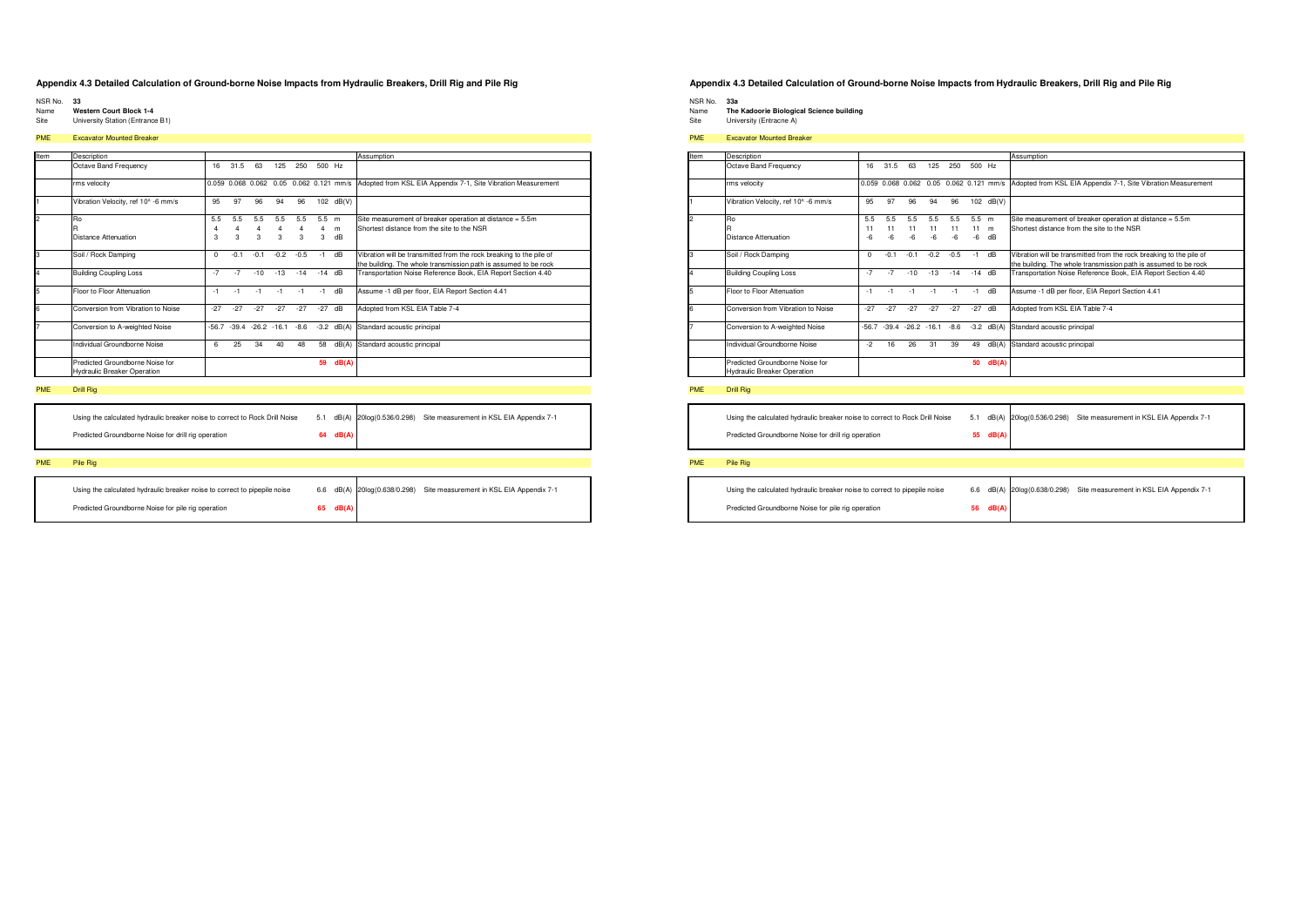- NSR No. 33
- Name Western Court Block 1-4
- Site University Station (Entrance B1)

### PME Excavator Mounted Breaker

| Item | Description                                                           |          |                       |                         |                       |          |                           |                                         | Assumption                                                                                                                             |
|------|-----------------------------------------------------------------------|----------|-----------------------|-------------------------|-----------------------|----------|---------------------------|-----------------------------------------|----------------------------------------------------------------------------------------------------------------------------------------|
|      | Octave Band Frequency                                                 | 16       | 31.5                  | 63                      | 125                   | 250      | 500 Hz                    |                                         |                                                                                                                                        |
|      | rms velocity                                                          |          |                       |                         |                       |          |                           | 0.059 0.068 0.062 0.05 0.062 0.121 mm/s | Adopted from KSL EIA Appendix 7-1, Site Vibration Measurement                                                                          |
|      | Vibration Velocity, ref 10^ -6 mm/s                                   | 95       | 97                    | 96                      | 94                    | 96       | 102                       | dB(V)                                   |                                                                                                                                        |
| l2   | Ro                                                                    | 5.5<br>4 | 5.5<br>$\overline{4}$ | 5.5<br>4                | 5.5<br>$\overline{4}$ | 5.5<br>4 | $5.5$ m<br>$\overline{4}$ | m                                       | Site measurement of breaker operation at distance = 5.5m<br>Shortest distance from the site to the NSR                                 |
|      | Distance Attenuation                                                  | 3        | 3                     | $\overline{\mathbf{3}}$ | 3                     | 3        | 3                         | dB                                      |                                                                                                                                        |
| 3    | Soil / Rock Damping                                                   | U        | $-0.1$                | $-0.1$                  | $-0.2$                | $-0.5$   | $-1$                      | dB                                      | Vibration will be transmitted from the rock breaking to the pile of<br>the building. The whole transmission path is assumed to be rock |
| 14   | <b>Building Coupling Loss</b>                                         | $-7$     | $-7$                  | $-10$                   | $-13$                 | $-14$    | $-14$ dB                  |                                         | Transportation Noise Reference Book, EIA Report Section 4.40                                                                           |
| 5    | Floor to Floor Attenuation                                            | $-1$     | $-1$                  | $-1$                    | $-1$                  | $-1$     | $-1$                      | dB                                      | Assume -1 dB per floor, EIA Report Section 4.41                                                                                        |
| 6    | Conversion from Vibration to Noise                                    | $-27$    | $-27$                 | $-27$                   | $-27$                 | $-27$    | $-27$                     | dB                                      | Adopted from KSL EIA Table 7-4                                                                                                         |
|      | Conversion to A-weighted Noise                                        | $-56.7$  | $-39.4$               | $-26.2 - 16.1$          |                       | $-8.6$   | $-3.2$                    | dB(A)                                   | Standard acoustic principal                                                                                                            |
|      | Individual Groundborne Noise                                          | 6        | 25                    | 34                      | 40                    | 48       | 58                        | dB(A)                                   | Standard acoustic principal                                                                                                            |
|      | Predicted Groundborne Noise for<br><b>Hydraulic Breaker Operation</b> |          |                       |                         |                       |          | 59                        | dB(A)                                   |                                                                                                                                        |

### PME Drill Rig

| Using the calculated hydraulic breaker noise to correct to Rock Drill Noise |          | 5.1 dB(A) 20log(0.536/0.298) | Site measurement in KSL EIA Appendix 7-1 |
|-----------------------------------------------------------------------------|----------|------------------------------|------------------------------------------|
| Predicted Groundborne Noise for drill rig operation                         | 64 dB(A) |                              |                                          |
|                                                                             |          |                              |                                          |

### PME Pile Rig

| Using the calculated hydraulic breaker noise to correct to pipepile noise |    |       | 6.6 dB(A) 20log(0.638/0.298) Site measurement in KSL EIA Appendix 7-1 |
|---------------------------------------------------------------------------|----|-------|-----------------------------------------------------------------------|
| Predicted Groundborne Noise for pile rig operation                        | 65 | dB(A) |                                                                       |

### Appendix 4.3 Detailed Calculation of Ground-borne Noise Impacts from Hydraulic Breakers, Drill Rig and Pile Rig

- NSR No. 33a<br>Name The Kadoorie Biological Science building<br>Site University (Entracne A)
- 

### PME Excavator Mounted Breaker

| Item           | Description                                                           |                 |                     |                 |                 |                   |                     |              | Assumption                                                                                                                             |
|----------------|-----------------------------------------------------------------------|-----------------|---------------------|-----------------|-----------------|-------------------|---------------------|--------------|----------------------------------------------------------------------------------------------------------------------------------------|
|                | Octave Band Frequency                                                 | 16              | 31.5                | 63              | 125             | 250               | 500 Hz              |              |                                                                                                                                        |
|                | rms velocity                                                          |                 |                     |                 |                 |                   |                     |              | 0.059 0.068 0.062 0.05 0.062 0.121 mm/s Adopted from KSL EIA Appendix 7-1, Site Vibration Measurement                                  |
| ł1             | Vibration Velocity, ref 10^ -6 mm/s                                   | 95              | 97                  | 96              | 94              | 96                | 102                 | dB(V)        |                                                                                                                                        |
| $\overline{2}$ | Ro<br>Distance Attenuation                                            | 5.5<br>11<br>-6 | 5.5<br>11           | 5.5<br>11<br>-6 | 5.5<br>11<br>-6 | 5.5<br>11<br>$-6$ | $5.5$ m<br>11<br>-6 | m<br>dB      | Site measurement of breaker operation at distance = 5.5m<br>Shortest distance from the site to the NSR                                 |
| 3              | Soil / Rock Damping                                                   | $\Omega$        | $-0.1$              | $-0.1$          | $-0.2$          | $-0.5$            | $-1$                | dB           | Vibration will be transmitted from the rock breaking to the pile of<br>the building. The whole transmission path is assumed to be rock |
| 4              | <b>Building Coupling Loss</b>                                         | $-7$            | $-7$                | $-10$           | $-13$           | $-14$             | $-14$ dB            |              | Transportation Noise Reference Book, EIA Report Section 4.40                                                                           |
| 5              | Floor to Floor Attenuation                                            | $-1$            | - 1                 | $-1$            |                 | $-1$              | $-1$                | dB           | Assume -1 dB per floor, EIA Report Section 4.41                                                                                        |
| 6              | Conversion from Vibration to Noise                                    | $-27$           | $-27$               | $-27$           | $-27$           | $-27$             | $-27$               | dB           | Adopted from KSL EIA Table 7-4                                                                                                         |
| 7              | Conversion to A-weighted Noise                                        | $-56.7$         | $-39.4 -26.2 -16.1$ |                 |                 | $-8.6$            |                     | $-3.2$ dB(A) | Standard acoustic principal                                                                                                            |
|                | Individual Groundborne Noise                                          | -2              | 16                  | 26              | 31              | 39                | 49                  | dB(A)        | Standard acoustic principal                                                                                                            |
|                | Predicted Groundborne Noise for<br><b>Hydraulic Breaker Operation</b> |                 |                     |                 |                 |                   | 50                  | dB(A)        |                                                                                                                                        |

### PME Drill Rig

5.1 dB(A) 20log(0.536/0.298) Site measurement in KSL EIA Appendix 7-1 Using the calculated hydraulic breaker noise to correct to Rock Drill Noise Predicted Groundborne Noise for drill rig operation 55 dB(A

| Using the calculated hydraulic breaker noise to correct to pipepile noise |          | 6.6 dB(A) 20log(0.638/0.298) Site measurement in KSL EIA Appendix 7-1 |
|---------------------------------------------------------------------------|----------|-----------------------------------------------------------------------|
| Predicted Groundborne Noise for pile rig operation                        | 56 dB(A) |                                                                       |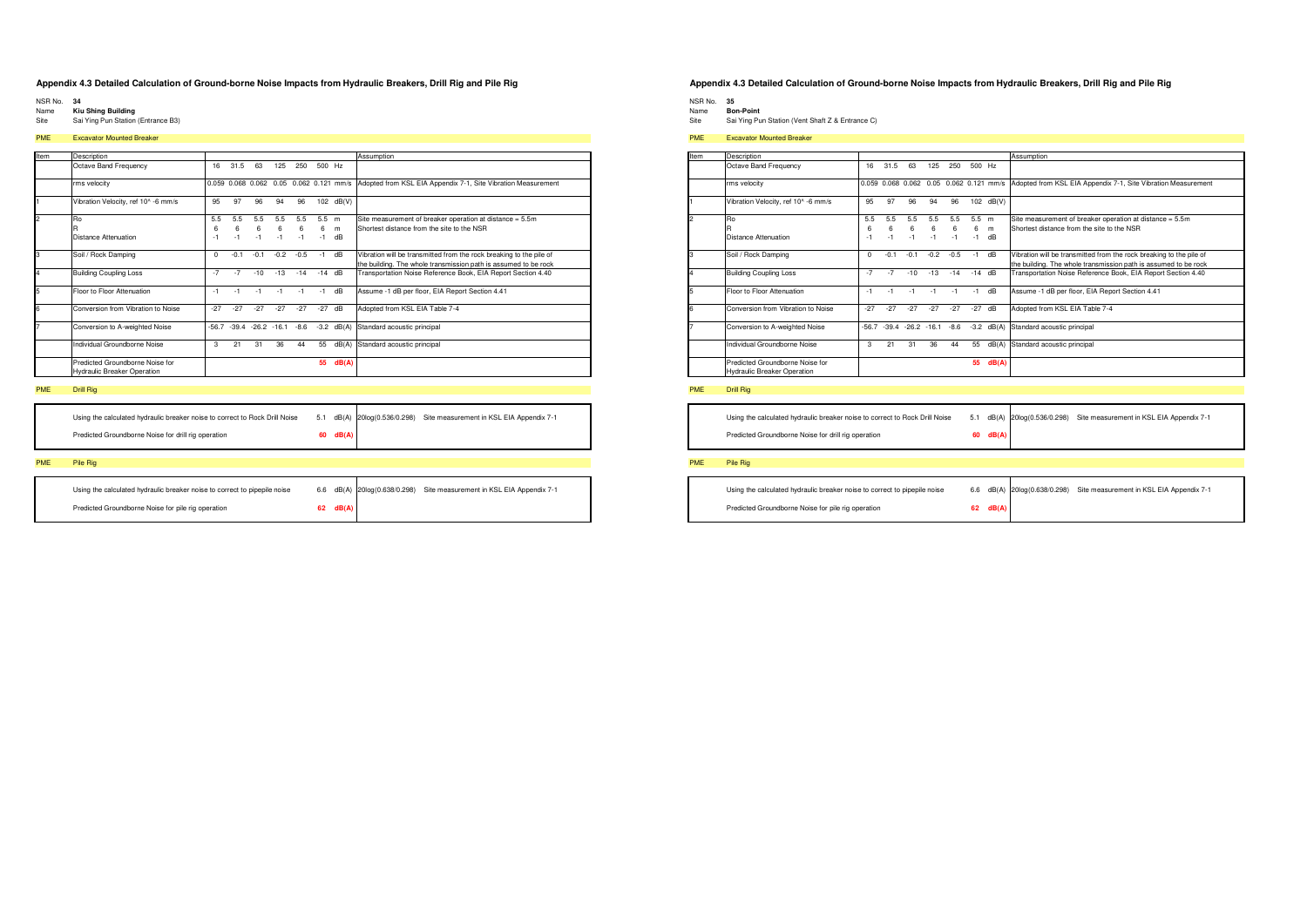- 
- NSR No. 34<br>Name Kiu Shing Building<br>Site Sai Ying Pun Station (Entrance B3)
- 

### PME Excavator Mounted Breaker

| Item          | Description                                                           |          |          |                     |          |          |              |       | Assumption                                                                                                                             |
|---------------|-----------------------------------------------------------------------|----------|----------|---------------------|----------|----------|--------------|-------|----------------------------------------------------------------------------------------------------------------------------------------|
|               | Octave Band Frequency                                                 | 16       | 31.5     | 63                  | 125      | 250      | 500 Hz       |       |                                                                                                                                        |
|               | rms velocity                                                          |          |          |                     |          |          |              |       | 0.059 0.068 0.062 0.05 0.062 0.121 mm/s Adopted from KSL EIA Appendix 7-1, Site Vibration Measurement                                  |
|               | Vibration Velocity, ref 10^ -6 mm/s                                   | 95       | 97       | 96                  | 94       | 96       | 102          | dB(V) |                                                                                                                                        |
| $\mathcal{P}$ | Ro<br>R                                                               | 5.5<br>6 | 5.5<br>6 | 5.5<br>6            | 5.5<br>6 | 5.5<br>6 | $5.5$ m<br>6 | m     | Site measurement of breaker operation at distance = 5.5m<br>Shortest distance from the site to the NSR                                 |
|               | Distance Attenuation                                                  | $-1$     | $-1$     | $-1$                | $-1$     | $-1$     | $-1$         | dB    |                                                                                                                                        |
| 3             | Soil / Rock Damping                                                   | $\Omega$ | $-0.1$   | $-0.1$              | $-0.2$   | $-0.5$   | $-1$         | dB    | Vibration will be transmitted from the rock breaking to the pile of<br>the building. The whole transmission path is assumed to be rock |
| 4             | <b>Building Coupling Loss</b>                                         | $-7$     | $-7$     | $-10$               | $-13$    | $-14$    | $-14$        | dB    | Transportation Noise Reference Book, EIA Report Section 4.40                                                                           |
| 5             | Floor to Floor Attenuation                                            | $-1$     | $-1$     | $-1$                | $-1$     | $-1$     | $-1$         | dB    | Assume -1 dB per floor, EIA Report Section 4.41                                                                                        |
| 6             | Conversion from Vibration to Noise                                    | $-27$    | $-27$    | $-27$               | $-27$    | $-27$    | $-27$        | dB    | Adopted from KSL EIA Table 7-4                                                                                                         |
|               | Conversion to A-weighted Noise                                        | $-56.7$  |          | $-39.4 -26.2 -16.1$ |          | $-8.6$   | $-3.2$       | dB(A) | Standard acoustic principal                                                                                                            |
|               | Individual Groundborne Noise                                          | 3        | 21       | 31                  | 36       | 44       | 55           | dB(A) | Standard acoustic principal                                                                                                            |
|               | Predicted Groundborne Noise for<br><b>Hydraulic Breaker Operation</b> |          |          |                     |          |          | 55           | dB(A) |                                                                                                                                        |

### PME Drill Rig

| Using the calculated hydraulic breaker noise to correct to Rock Drill Noise |              | 5.1 dB(A) 20log(0.536/0.298) | Site measurement in KSL EIA Appendix 7-1 |
|-----------------------------------------------------------------------------|--------------|------------------------------|------------------------------------------|
| Predicted Groundborne Noise for drill rig operation                         | $60$ $dB(A)$ |                              |                                          |
|                                                                             |              |                              |                                          |

### **PME** Pile Rig

| Using the calculated hydraulic breaker noise to correct to pipepile noise |    |       | 6.6 dB(A) 20log(0.638/0.298) Site measurement in KSL EIA Appendix 7-1 |
|---------------------------------------------------------------------------|----|-------|-----------------------------------------------------------------------|
| Predicted Groundborne Noise for pile rig operation                        | 62 | dB(A) |                                                                       |

### Appendix 4.3 Detailed Calculation of Ground-borne Noise Impacts from Hydraulic Breakers, Drill Rig and Pile Rig

NSR No. 35<br>Name Bon-Point

Site Sai Ying Pun Station (Vent Shaft Z & Entrance C)

### **PME** Excavator Mounted Breaker

| Item           | Description                                                           |          |         |                |        |        |          |                                         | Assumption                                                                                                                             |
|----------------|-----------------------------------------------------------------------|----------|---------|----------------|--------|--------|----------|-----------------------------------------|----------------------------------------------------------------------------------------------------------------------------------------|
|                | Octave Band Frequency                                                 | 16       | 31.5    | 63             | 125    | 250    | 500 Hz   |                                         |                                                                                                                                        |
|                | rms velocity                                                          |          |         |                |        |        |          | 0.059 0.068 0.062 0.05 0.062 0.121 mm/s | Adopted from KSL EIA Appendix 7-1, Site Vibration Measurement                                                                          |
| ł1             | Vibration Velocity, ref 10^ -6 mm/s                                   | 95       | 97      | 96             | 94     | 96     | 102      | dB(V)                                   |                                                                                                                                        |
| $\overline{2}$ | Ro                                                                    | 5.5      | 5.5     | 5.5            | 5.5    | 5.5    | $5.5$ m  |                                         | Site measurement of breaker operation at distance = 5.5m                                                                               |
|                |                                                                       | 6        | 6       | 6              | 6      | 6      | 6        | m                                       | Shortest distance from the site to the NSR                                                                                             |
|                | Distance Attenuation                                                  | $-1$     | $-1$    | $-1$           | $-1$   | $-1$   | $-1$     | dB                                      |                                                                                                                                        |
| 3              | Soil / Rock Damping                                                   | $\Omega$ | $-0.1$  | $-0.1$         | $-0.2$ | $-0.5$ | $-1$     | dB                                      | Vibration will be transmitted from the rock breaking to the pile of<br>the building. The whole transmission path is assumed to be rock |
| 4              | <b>Building Coupling Loss</b>                                         | $-7$     | $-7$    | $-10$          | $-13$  | $-14$  | $-14$ dB |                                         | Transportation Noise Reference Book, EIA Report Section 4.40                                                                           |
| 5              | Floor to Floor Attenuation                                            | $-1$     | - 1     | $-1$           |        | $-1$   | $-1$     | dB                                      | Assume -1 dB per floor, EIA Report Section 4.41                                                                                        |
| 6              | Conversion from Vibration to Noise                                    | $-27$    | $-27$   | $-27$          | $-27$  | $-27$  | $-27$    | dB                                      | Adopted from KSL EIA Table 7-4                                                                                                         |
| 7              | Conversion to A-weighted Noise                                        | $-56.7$  | $-39.4$ | $-26.2 - 16.1$ |        | $-8.6$ | $-3.2$   | dB(A)                                   | Standard acoustic principal                                                                                                            |
|                | Individual Groundborne Noise                                          | 3        | 21      | 31             | 36     | 44     | 55       | dB(A)                                   | Standard acoustic principal                                                                                                            |
|                | Predicted Groundborne Noise for<br><b>Hydraulic Breaker Operation</b> |          |         |                |        |        | 55       | dB(A)                                   |                                                                                                                                        |

### PME Drill Rig

Using the calculated hydraulic breaker noise to correct to Rock Drill Noise 5.1 dB(A) 20log(0.536/0.298) Site measurement in KSL EIA Appendix 7-1 Predicted Groundborne Noise for drill rig operation 60 dB(A

| Using the calculated hydraulic breaker noise to correct to pipepile noise |          | 6.6 dB(A) 20log(0.638/0.298) | Site measurement in KSL EIA Appendix 7-1 |
|---------------------------------------------------------------------------|----------|------------------------------|------------------------------------------|
| Predicted Groundborne Noise for pile rig operation                        | 62 dB(A) |                              |                                          |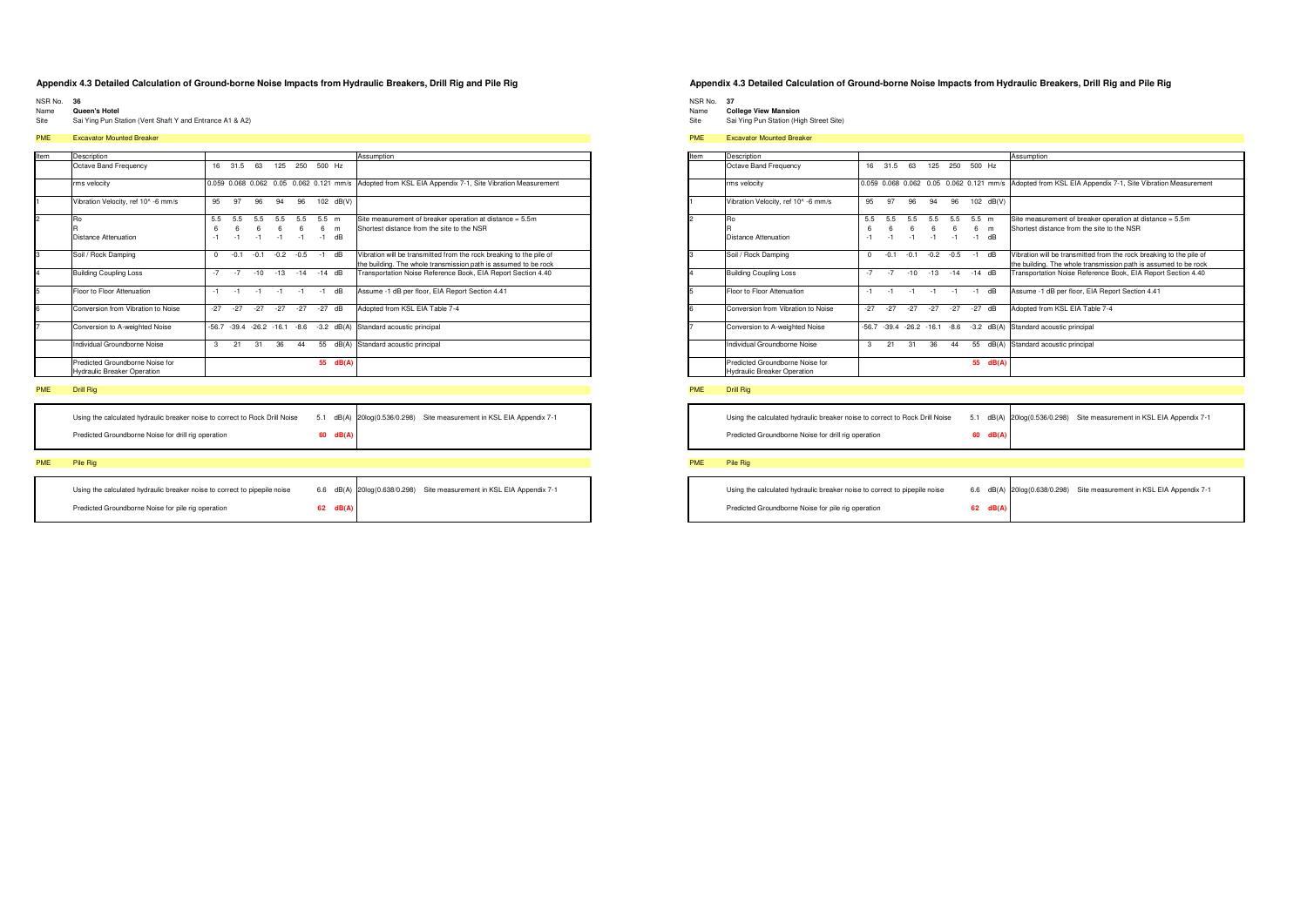- NSR No. 36
- Name<sup>1</sup> Queen's Hotel Site Sai Ying Pun Station (Vent Shaft Y and Entrance A1 & A2)

### **PME** Excavator Mounted Breaker

| Item           | Description                                                           |         |         |                |        |        |          |                                         | Assumption                                                                                                                             |
|----------------|-----------------------------------------------------------------------|---------|---------|----------------|--------|--------|----------|-----------------------------------------|----------------------------------------------------------------------------------------------------------------------------------------|
|                | Octave Band Frequency                                                 | 16      | 31.5    | 63             | 125    | 250    | 500 Hz   |                                         |                                                                                                                                        |
|                | rms velocity                                                          |         |         |                |        |        |          | 0.059 0.068 0.062 0.05 0.062 0.121 mm/s | Adopted from KSL EIA Appendix 7-1, Site Vibration Measurement                                                                          |
|                | Vibration Velocity, ref 10^ -6 mm/s                                   | 95      | 97      | 96             | 94     | 96     | 102      | dB(V)                                   |                                                                                                                                        |
| $\overline{2}$ | Ro                                                                    | 5.5     | 5.5     | 5.5            | 5.5    | 5.5    | 5.5      | m                                       | Site measurement of breaker operation at distance = 5.5m                                                                               |
|                |                                                                       | 6       | 6       | 6              | 6      | 6      | 6        | m                                       | Shortest distance from the site to the NSR                                                                                             |
|                | Distance Attenuation                                                  | $-1$    | $-1$    | $-1$           | $-1$   | $-1$   | $-1$     | dB                                      |                                                                                                                                        |
| 3              | Soil / Rock Damping                                                   | 0       | $-0.1$  | $-0.1$         | $-0.2$ | $-0.5$ | $-1$     | dB                                      | Vibration will be transmitted from the rock breaking to the pile of<br>the building. The whole transmission path is assumed to be rock |
| I4             | <b>Building Coupling Loss</b>                                         | $-7$    | $-7$    | $-10$          | $-13$  | $-14$  | $-14$ dB |                                         | Transportation Noise Reference Book, EIA Report Section 4.40                                                                           |
| 5              | Floor to Floor Attenuation                                            | $-1$    | $-1$    | $-1$           | $-1$   | -1     | $-1$     | dB                                      | Assume -1 dB per floor, EIA Report Section 4.41                                                                                        |
| 6              | Conversion from Vibration to Noise                                    | $-27$   | $-27$   | $-27$          | $-27$  | $-27$  | $-27$    | dB                                      | Adopted from KSL EIA Table 7-4                                                                                                         |
|                | Conversion to A-weighted Noise                                        | $-56.7$ | $-39.4$ | $-26.2 - 16.1$ |        | $-8.6$ | $-3.2$   | dB(A)                                   | Standard acoustic principal                                                                                                            |
|                | Individual Groundborne Noise                                          | 3       | 21      | 31             | 36     | 44     | 55       | dB(A)                                   | Standard acoustic principal                                                                                                            |
|                | Predicted Groundborne Noise for<br><b>Hydraulic Breaker Operation</b> |         |         |                |        |        | 55       | dB(A)                                   |                                                                                                                                        |

### PME Drill Rig

| Using the calculated hydraulic breaker noise to correct to Rock Drill Noise |            | 5.1 dB(A) 20log(0.536/0.298) Site measurement in KSL EIA Appendix 7-1 |
|-----------------------------------------------------------------------------|------------|-----------------------------------------------------------------------|
| Predicted Groundborne Noise for drill rig operation                         | $60$ dB(A) |                                                                       |
|                                                                             |            |                                                                       |

### PME Pile Rig

| Using the calculated hydraulic breaker noise to correct to pipepile noise |    |       | 6.6 dB(A) 20log(0.638/0.298) Site measurement in KSL EIA Appendix 7-1 |
|---------------------------------------------------------------------------|----|-------|-----------------------------------------------------------------------|
| Predicted Groundborne Noise for pile rig operation                        | 62 | dB(A) |                                                                       |

### Appendix 4.3 Detailed Calculation of Ground-borne Noise Impacts from Hydraulic Breakers, Drill Rig and Pile Rig

NSR No. 37

- o.<br>College View Mansion<br>Sai Ying Pun Station (High Street Site) Name Site
- 

### **PME** Excavator Mounted Breaker

| Item           | Description                                                           |                |                  |                     |                  |                  |                      |           | Assumption                                                                                                                             |
|----------------|-----------------------------------------------------------------------|----------------|------------------|---------------------|------------------|------------------|----------------------|-----------|----------------------------------------------------------------------------------------------------------------------------------------|
|                | Octave Band Frequency                                                 | 16             | 31.5             | 63                  | 125              | 250              | 500 Hz               |           |                                                                                                                                        |
|                | rms velocity                                                          |                |                  |                     |                  |                  |                      |           | 0.059 0.068 0.062 0.05 0.062 0.121 mm/s Adopted from KSL EIA Appendix 7-1, Site Vibration Measurement                                  |
| H.             | Vibration Velocity, ref 10^ -6 mm/s                                   | 95             | 97               | 96                  | 94               | 96               |                      | 102 dB(V) |                                                                                                                                        |
| $\overline{2}$ | Ro<br>Distance Attenuation                                            | 5.5<br>6<br>-1 | 5.5<br>6<br>$-1$ | 5.5<br>6<br>$-1$    | 5.5<br>6<br>$-1$ | 5.5<br>6<br>$-1$ | $5.5$ m<br>6<br>$-1$ | m<br>dB   | Site measurement of breaker operation at distance = 5.5m<br>Shortest distance from the site to the NSR                                 |
| 3              | Soil / Rock Damping                                                   | $\Omega$       | $-0.1$           | $-0.1$              | $-0.2$           | $-0.5$           | $-1$                 | dB        | Vibration will be transmitted from the rock breaking to the pile of<br>the building. The whole transmission path is assumed to be rock |
| 4              | <b>Building Coupling Loss</b>                                         | $-7$           | $-7$             | $-10$               | $-13$            | $-14$            | $-14$ dB             |           | Transportation Noise Reference Book, EIA Report Section 4.40                                                                           |
| 5              | Floor to Floor Attenuation                                            | $-1$           | $-1$             | $-1$                | $-1$             | $-1$             | $-1$                 | dB        | Assume -1 dB per floor, EIA Report Section 4.41                                                                                        |
| 6              | Conversion from Vibration to Noise                                    | $-27$          | $-27$            | $-27$               | $-27$            | $-27$            | $-27$                | dB        | Adopted from KSL EIA Table 7-4                                                                                                         |
| 7              | Conversion to A-weighted Noise                                        | $-56.7$        |                  | $-39.4 -26.2 -16.1$ |                  | $-8.6$           | $-3.2$               | dB(A)     | Standard acoustic principal                                                                                                            |
|                | Individual Groundborne Noise                                          | 3              | 21               | 31                  | 36               | 44               | 55                   | dB(A)     | Standard acoustic principal                                                                                                            |
|                | Predicted Groundborne Noise for<br><b>Hydraulic Breaker Operation</b> |                |                  |                     |                  |                  | 55                   | dB(A)     |                                                                                                                                        |

### PME Drill Rig

Using the calculated hydraulic breaker noise to correct to Rock Drill Noise 5.1 dB(A) 20log(0.536/0.298) Site measurement in KSL EIA Appendix 7-1 Predicted Groundborne Noise for drill rig operation 60 dB(A

| Using the calculated hydraulic breaker noise to correct to pipepile noise |          | 6.6 dB(A) 20log(0.638/0.298) | Site measurement in KSL EIA Appendix 7-1 |
|---------------------------------------------------------------------------|----------|------------------------------|------------------------------------------|
| Predicted Groundborne Noise for pile rig operation                        | 62 dB(A) |                              |                                          |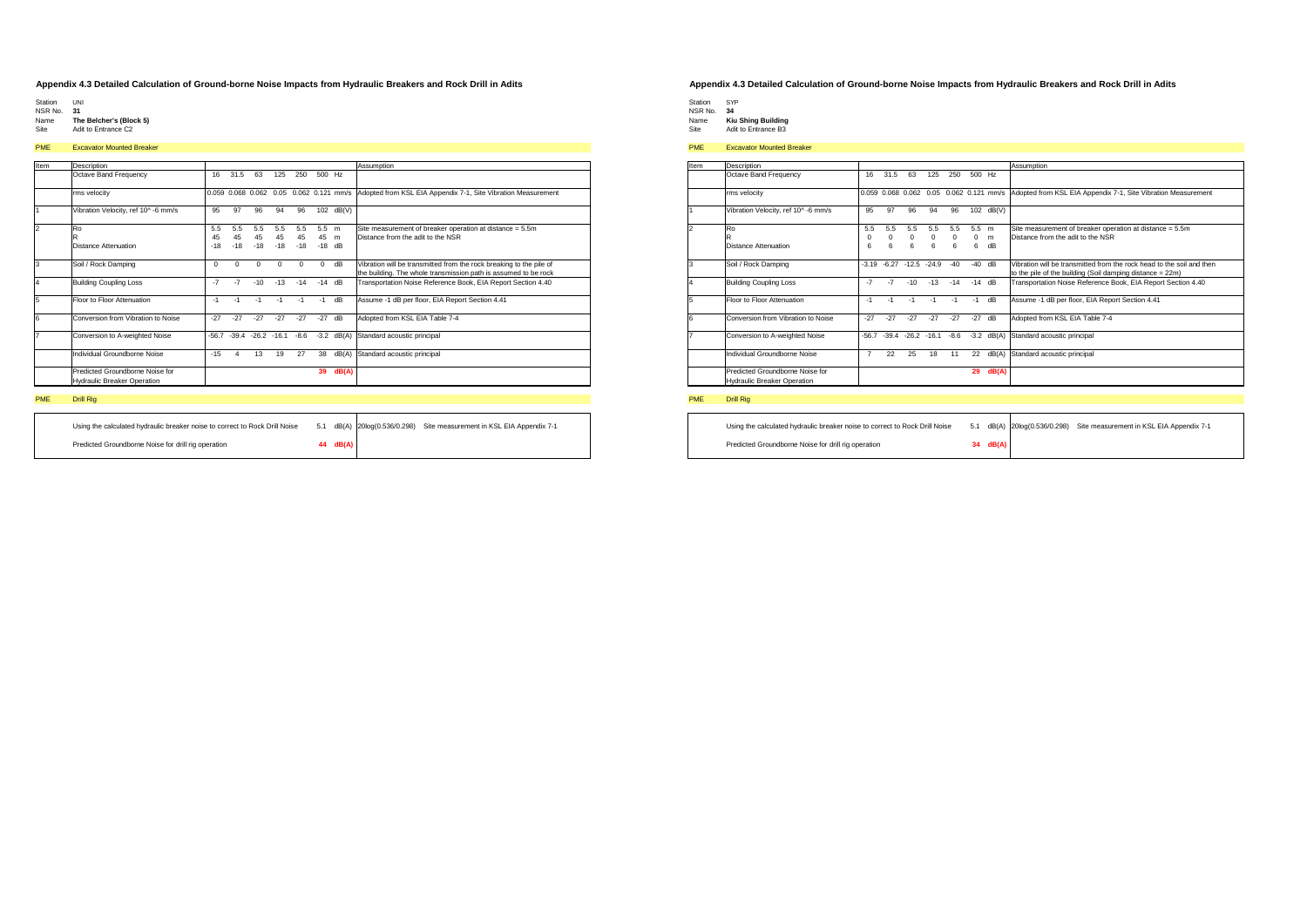- 
- Station UNI NSR No. **31**
- Name **The Belcher's (Block 5)**<br>Site Adit to Entrance C2

### PME Excavator Mounted Breaker

| Item | Description                                                           |          |          |                     |          |          |          |           | Assumption                                                                                                                             |
|------|-----------------------------------------------------------------------|----------|----------|---------------------|----------|----------|----------|-----------|----------------------------------------------------------------------------------------------------------------------------------------|
|      | Octave Band Frequency                                                 | 16       | 31.5     | 63                  | 125      | 250      | 500 Hz   |           |                                                                                                                                        |
|      | rms velocity                                                          |          |          |                     |          |          |          |           | 0.059 0.068 0.062 0.05 0.062 0.121 mm/s Adopted from KSL EIA Appendix 7-1, Site Vibration Measurement                                  |
|      | Vibration Velocity, ref 10^-6 mm/s                                    | 95       | 97       | 96                  | 94       | 96       |          | 102 dB(V) |                                                                                                                                        |
|      | Ro                                                                    | 5.5      | 5.5      | 5.5                 | 5.5      | 5.5      | 5.5      | m         | Site measurement of breaker operation at distance = 5.5m                                                                               |
|      | R                                                                     | 45       | 45       | 45                  | 45       | 45       | 45       | m         | Distance from the adit to the NSR                                                                                                      |
|      | <b>Distance Attenuation</b>                                           | $-18$    | $-18$    | $-18$               | $-18$    | $-18$    | $-18$    | dB        |                                                                                                                                        |
|      | Soil / Rock Damping                                                   | $\Omega$ | $\Omega$ | $\Omega$            | $\Omega$ | $\Omega$ | $\Omega$ | dB        | Vibration will be transmitted from the rock breaking to the pile of<br>the building. The whole transmission path is assumed to be rock |
|      | <b>Building Coupling Loss</b>                                         | $-7$     | $-7$     | $-10$               | $-13$    | $-14$    | $-14$    | dB        | Transportation Noise Reference Book, EIA Report Section 4.40                                                                           |
|      | Floor to Floor Attenuation                                            | $-1$     | $-1$     | $-1$                | $-1$     | $-1$     | $-1$     | dB        | Assume -1 dB per floor, EIA Report Section 4.41                                                                                        |
|      | Conversion from Vibration to Noise                                    | $-27$    | $-27$    | $-27$               | $-27$    | $-27$    | $-27$    | dB        | Adopted from KSL EIA Table 7-4                                                                                                         |
|      | Conversion to A-weighted Noise                                        | $-56.7$  |          | $-39.4 -26.2 -16.1$ |          | $-8.6$   | $-3.2$   | dB(A)     | Standard acoustic principal                                                                                                            |
|      | Individual Groundborne Noise                                          | $-15$    | 4        | 13                  | 19       | 27       | 38       | dB(A)     | Standard acoustic principal                                                                                                            |
|      | Predicted Groundborne Noise for<br><b>Hydraulic Breaker Operation</b> |          |          |                     |          |          | 39       | dB(A)     |                                                                                                                                        |

## PME Drill Rig

| Using the calculated hydraulic breaker noise to correct to Rock Drill Noise |          | 5.1 dB(A) 20log(0.536/0.298) | Site measurement in KSL EIA Appendix 7-1 |
|-----------------------------------------------------------------------------|----------|------------------------------|------------------------------------------|
| Predicted Groundborne Noise for drill rig operation                         | 44 dB(A) |                              |                                          |

### **Appendix 4.3 Detailed Calculation of Ground-borne Noise Impacts from Hydraulic Breakers and Rock Drill in Adits**

- 
- Station SYP<br>NSR No. **34<br>Name <b>Kiu Shing Building**<br>Site Adit to Entrance B3

# PME Excavator Mounted Breaker

| Item           | Description                                                           |                |          |                        |          |          |            |                  | Assumption                                                                                                                         |
|----------------|-----------------------------------------------------------------------|----------------|----------|------------------------|----------|----------|------------|------------------|------------------------------------------------------------------------------------------------------------------------------------|
|                | Octave Band Frequency                                                 | 16             | 31.5     | 63                     | 125      | 250      | 500 Hz     |                  |                                                                                                                                    |
|                | rms velocity                                                          |                |          | 0.059 0.068 0.062 0.05 |          |          |            | 0.062 0.121 mm/s | Adopted from KSL EIA Appendix 7-1, Site Vibration Measurement                                                                      |
|                | Vibration Velocity, ref 10^-6 mm/s                                    | 95             | 97       | 96                     | 94       | 96       | 102        | dB(V)            |                                                                                                                                    |
| $\overline{2}$ | Ro                                                                    | 5.5            | 5.5      | 5.5                    | 5.5      | 5.5      | 5.5 m      |                  | Site measurement of breaker operation at distance = 5.5m                                                                           |
|                | R                                                                     | $\Omega$       | $\Omega$ | 0                      | $\Omega$ | $\Omega$ | $^{\circ}$ | m                | Distance from the adit to the NSR                                                                                                  |
|                | Distance Attenuation                                                  | 6              | 6        | 6                      | 6        | 6        | 6          | dB               |                                                                                                                                    |
| 3              | Soil / Rock Damping                                                   | $-3.19$        | $-6.27$  | $-12.5 -24.9$          |          | $-40$    | $-40$      | dB               | Vibration will be transmitted from the rock head to the soil and then<br>to the pile of the building (Soil damping distance = 22m) |
| 14             | <b>Building Coupling Loss</b>                                         | $-7$           | $-7$     | $-10$                  | $-13$    | $-14$    | $-14$      | dB               | Transportation Noise Reference Book, EIA Report Section 4.40                                                                       |
| 5              | Floor to Floor Attenuation                                            | $-1$           | $-1$     | $-1$                   | $-1$     | $-1$     | $-1$       | dB               | Assume -1 dB per floor, EIA Report Section 4.41                                                                                    |
| 6              | Conversion from Vibration to Noise                                    | $-27$          | $-27$    | $-27$                  | $-27$    | $-27$    | $-27$      | dB               | Adopted from KSL EIA Table 7-4                                                                                                     |
| 17             | Conversion to A-weighted Noise                                        | $-56.7$        |          | $-39.4 -26.2 -16.1$    |          | $-8.6$   | $-3.2$     | dB(A)            | Standard acoustic principal                                                                                                        |
|                | Individual Groundborne Noise                                          | $\overline{7}$ | 22       | 25                     | 18       | 11       | 22         | dB(A)            | Standard acoustic principal                                                                                                        |
|                | Predicted Groundborne Noise for<br><b>Hydraulic Breaker Operation</b> |                |          |                        |          |          | 29         | dB(A)            |                                                                                                                                    |

| Using the calculated hydraulic breaker noise to correct to Rock Drill Noise | 5.1 |            | dB(A) 20log(0.536/0.298) Site measurement in KSL EIA Appendix 7-1 |
|-----------------------------------------------------------------------------|-----|------------|-------------------------------------------------------------------|
| Predicted Groundborne Noise for drill rig operation                         |     | $34$ dB(A) |                                                                   |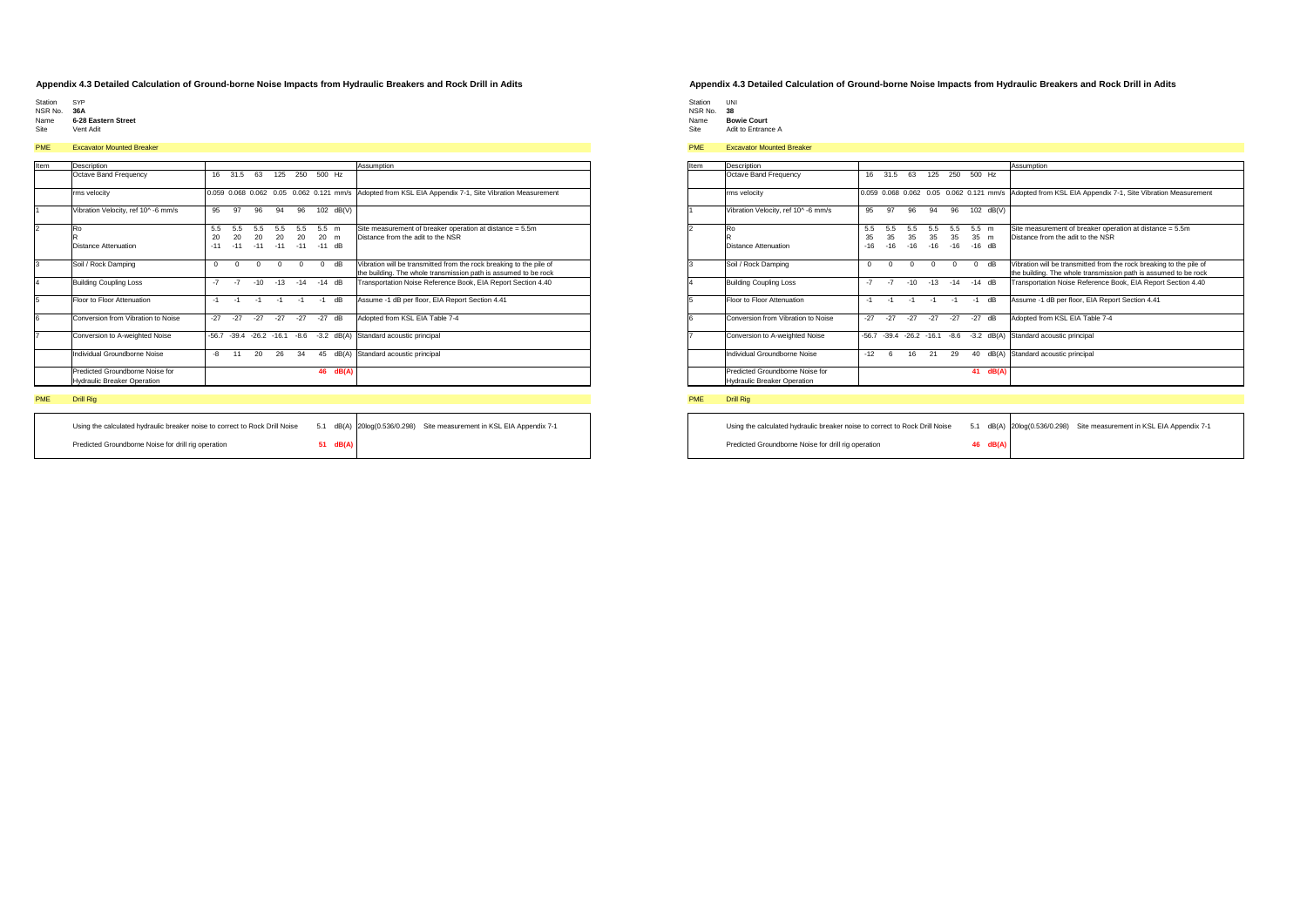- 
- Station SYP NSR No. **36A**
- Name **6-28 Eastern Street** Site Vent Adit

# PME Excavator Mounted Breaker

| Item | Description                                                           |          |          |                          |          |          |          |              | Assumption                                                                                                                             |
|------|-----------------------------------------------------------------------|----------|----------|--------------------------|----------|----------|----------|--------------|----------------------------------------------------------------------------------------------------------------------------------------|
|      | Octave Band Frequency                                                 | 16       | 31.5     | 63                       | 125      | 250      | 500 Hz   |              |                                                                                                                                        |
|      | rms velocity                                                          |          |          |                          |          |          |          |              | 0.059 0.068 0.062 0.05 0.062 0.121 mm/s Adopted from KSL EIA Appendix 7-1, Site Vibration Measurement                                  |
|      | Vibration Velocity, ref 10^-6 mm/s                                    | 95       | 97       | 96                       | 94       | 96       | 102      | dB(V)        |                                                                                                                                        |
|      | Ro                                                                    | 5.5      | 5.5      | 5.5                      | 5.5      | 5.5      | 5.5      | m            | Site measurement of breaker operation at distance = 5.5m                                                                               |
|      | R                                                                     | 20       | 20       | 20                       | 20       | 20       | 20       | m            | Distance from the adit to the NSR                                                                                                      |
|      | Distance Attenuation                                                  | $-11$    | $-11$    | $-11$                    | $-11$    | $-11$    | $-11$ dB |              |                                                                                                                                        |
|      | Soil / Rock Damping                                                   | $\Omega$ | $\Omega$ | $\Omega$                 | $\Omega$ | $\Omega$ | $\Omega$ | dB           | Vibration will be transmitted from the rock breaking to the pile of<br>the building. The whole transmission path is assumed to be rock |
|      | <b>Building Coupling Loss</b>                                         | $-7$     | $-7$     | $-10$                    | $-13$    | $-14$    | $-14$    | dB           | Transportation Noise Reference Book, EIA Report Section 4.40                                                                           |
|      | Floor to Floor Attenuation                                            | $-1$     | $-1$     | $-1$                     | $-1$     | $-1$     | $-1$     | dB           | Assume -1 dB per floor, EIA Report Section 4.41                                                                                        |
|      | Conversion from Vibration to Noise                                    | $-27$    | $-27$    | $-27$                    | $-27$    | $-27$    | $-27$    | dB           | Adopted from KSL EIA Table 7-4                                                                                                         |
|      | Conversion to A-weighted Noise                                        | $-56.7$  |          | $-39.4 -26.2 -16.1 -8.6$ |          |          |          | $-3.2$ dB(A) | Standard acoustic principal                                                                                                            |
|      | Individual Groundborne Noise                                          | -8       | 11       | 20                       | 26       | 34       | 45       | dB(A)        | Standard acoustic principal                                                                                                            |
|      | Predicted Groundborne Noise for<br><b>Hydraulic Breaker Operation</b> |          |          |                          |          |          | 46       | dB(A)        |                                                                                                                                        |

## PME Drill Rig

| Using the calculated hydraulic breaker noise to correct to Rock Drill Noise |          | 5.1 dB(A) 20log(0.536/0.298) Site measurement in KSL EIA Appendix 7-1 |
|-----------------------------------------------------------------------------|----------|-----------------------------------------------------------------------|
| Predicted Groundborne Noise for drill rig operation                         | 51 dB(A) |                                                                       |

### **Appendix 4.3 Detailed Calculation of Ground-borne Noise Impacts from Hydraulic Breakers and Rock Drill in Adits**

Station UNI<br>NSR No. 3**8<br>Name <b>Bowie Court**<br>Site Adit to Entrance A

# PME Excavator Mounted Breaker

| Item           | Description                                                           |          |          |                     |       |          |          |                                         | Assumption                                                          |
|----------------|-----------------------------------------------------------------------|----------|----------|---------------------|-------|----------|----------|-----------------------------------------|---------------------------------------------------------------------|
|                | Octave Band Frequency                                                 | 16       | 31.5     | 63                  | 125   | 250      | 500 Hz   |                                         |                                                                     |
|                | rms velocity                                                          |          |          |                     |       |          |          | 0.059 0.068 0.062 0.05 0.062 0.121 mm/s | Adopted from KSL EIA Appendix 7-1, Site Vibration Measurement       |
|                | Vibration Velocity, ref 10^-6 mm/s                                    | 95       | 97       | 96                  | 94    | 96       |          | 102 dB(V)                               |                                                                     |
| $\overline{2}$ | Ro                                                                    | 5.5      | 5.5      | 5.5                 | 5.5   | 5.5      | 5.5 m    |                                         | Site measurement of breaker operation at distance = 5.5m            |
|                | R                                                                     | 35       | 35       | 35                  | 35    | 35       | 35 m     |                                         | Distance from the adit to the NSR                                   |
|                | Distance Attenuation                                                  | $-16$    | $-16$    | $-16$               | $-16$ | $-16$    | $-16$ dB |                                         |                                                                     |
| 3              | Soil / Rock Damping                                                   | $\Omega$ | $\Omega$ | $\Omega$            | O     | $\Omega$ | $\Omega$ | dB                                      | Vibration will be transmitted from the rock breaking to the pile of |
|                |                                                                       |          |          |                     |       |          |          |                                         | the building. The whole transmission path is assumed to be rock     |
| $\overline{4}$ | <b>Building Coupling Loss</b>                                         | $-7$     | $-7$     | $-10$               | $-13$ | $-14$    | $-14$ dB |                                         | Transportation Noise Reference Book, EIA Report Section 4.40        |
| 5              | Floor to Floor Attenuation                                            | $-1$     | $-1$     | $-1$                | $-1$  | $-1$     | $-1$     | dB                                      | Assume -1 dB per floor, EIA Report Section 4.41                     |
| <b>6</b>       | Conversion from Vibration to Noise                                    | $-27$    | $-27$    | $-27$               | $-27$ | $-27$    | $-27$    | dB                                      | Adopted from KSL EIA Table 7-4                                      |
|                | Conversion to A-weighted Noise                                        | $-56.7$  |          | $-39.4 -26.2 -16.1$ |       | $-8.6$   | $-3.2$   | dB(A)                                   | Standard acoustic principal                                         |
|                | Individual Groundborne Noise                                          | $-12$    | 6        | 16                  | 21    | 29       | 40       | dB(A)                                   | Standard acoustic principal                                         |
|                | Predicted Groundborne Noise for<br><b>Hydraulic Breaker Operation</b> |          |          |                     |       |          | 41       | dB(A)                                   |                                                                     |

| Using the calculated hydraulic breaker noise to correct to Rock Drill Noise | 5.1 |          | dB(A) 20log(0.536/0.298) Site measurement in KSL EIA Appendix 7-1 |
|-----------------------------------------------------------------------------|-----|----------|-------------------------------------------------------------------|
| Predicted Groundborne Noise for drill rig operation                         |     | 46 dB(A) |                                                                   |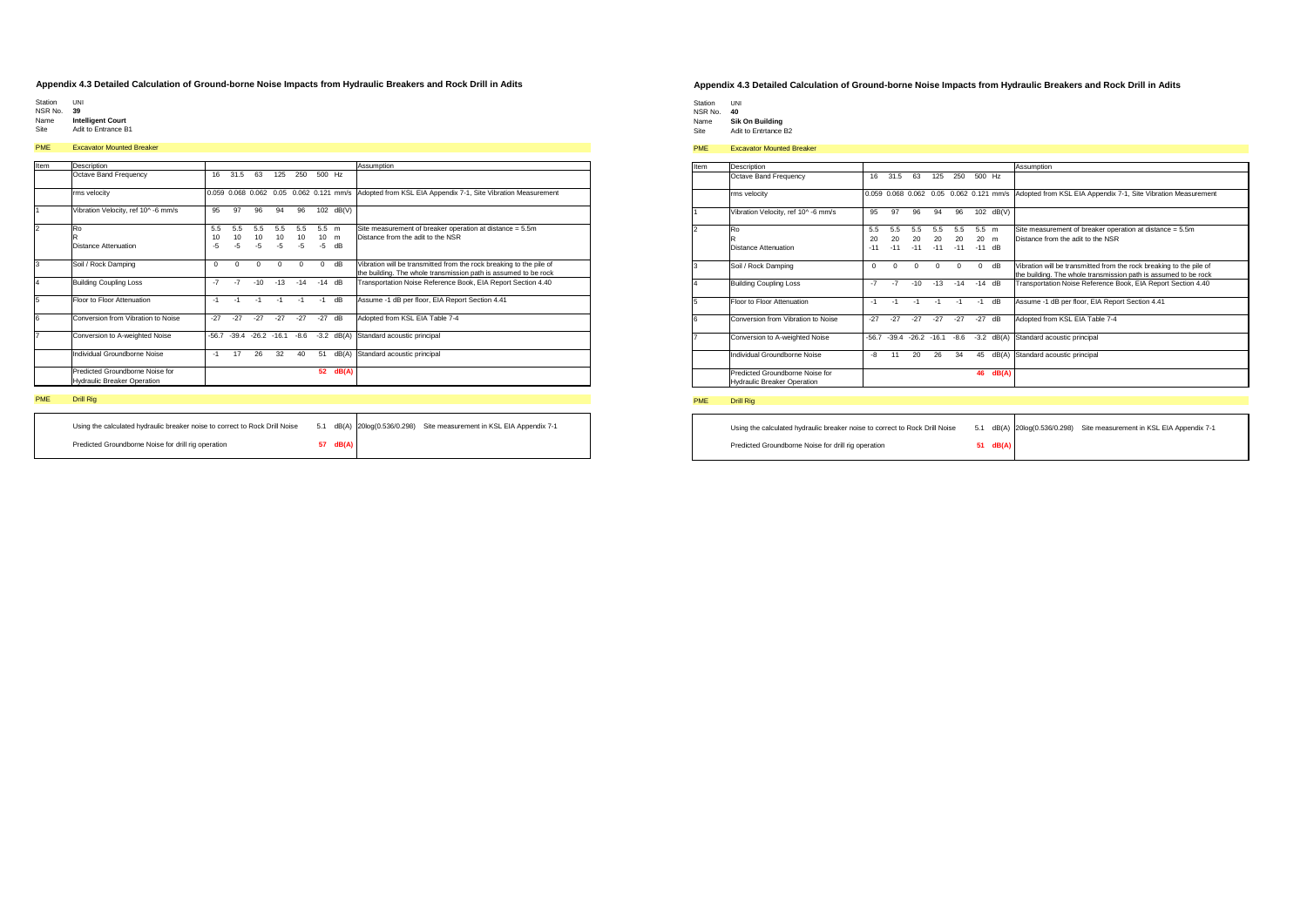- Station UNI NSR No. **39**
- 
- Name **Intelligent Court** Site Adit to Entrance B1

## PME Excavator Mounted Breaker

| Item | Description                                                           |          |          |               |          |          |          |           | Assumption                                                                                                                             |
|------|-----------------------------------------------------------------------|----------|----------|---------------|----------|----------|----------|-----------|----------------------------------------------------------------------------------------------------------------------------------------|
|      | Octave Band Frequency                                                 | 16       | 31.5     | 63            | 125      | 250      | 500 Hz   |           |                                                                                                                                        |
|      | rms velocity                                                          |          |          |               |          |          |          |           | 0.059 0.068 0.062 0.05 0.062 0.121 mm/s Adopted from KSL EIA Appendix 7-1, Site Vibration Measurement                                  |
|      | Vibration Velocity, ref 10^-6 mm/s                                    | 95       | 97       | 96            | 94       | 96       |          | 102 dB(V) |                                                                                                                                        |
|      | Ro                                                                    | 5.5      | 5.5      | 5.5           | 5.5      | 5.5      | 5.5      | m         | Site measurement of breaker operation at distance = 5.5m                                                                               |
|      | R                                                                     | 10       | 10       | 10            | 10       | 10       | 10       | m         | Distance from the adit to the NSR                                                                                                      |
|      | Distance Attenuation                                                  | -5       | $-5$     | $-5$          | -5       | $-5$     | -5       | dB        |                                                                                                                                        |
| 3    | Soil / Rock Damping                                                   | $\Omega$ | $\Omega$ | $\Omega$      | $\Omega$ | $\Omega$ | $\Omega$ | dB        | Vibration will be transmitted from the rock breaking to the pile of<br>the building. The whole transmission path is assumed to be rock |
|      | <b>Building Coupling Loss</b>                                         | $-7$     | $-7$     | $-10$         | $-13$    | $-14$    | $-14$    | dB        | Transportation Noise Reference Book, EIA Report Section 4.40                                                                           |
| 5    | Floor to Floor Attenuation                                            | $-1$     | $-1$     | $-1$          | $-1$     | $-1$     | $-1$     | dB        | Assume -1 dB per floor, EIA Report Section 4.41                                                                                        |
| 6    | Conversion from Vibration to Noise                                    | $-27$    | $-27$    | $-27$         | $-27$    | $-27$    | $-27$    | dB        | Adopted from KSL EIA Table 7-4                                                                                                         |
|      | Conversion to A-weighted Noise                                        | $-56.7$  |          | $-39.4 -26.2$ | $-16.1$  | $-8.6$   | $-3.2$   | dB(A)     | Standard acoustic principal                                                                                                            |
|      | Individual Groundborne Noise                                          | $-1$     | 17       | 26            | 32       | 40       | 51       | dB(A)     | Standard acoustic principal                                                                                                            |
|      | Predicted Groundborne Noise for<br><b>Hydraulic Breaker Operation</b> |          |          |               |          |          | 52       | dB(A)     |                                                                                                                                        |

## PME Drill Rig

| Using the calculated hydraulic breaker noise to correct to Rock Drill Noise |          | 5.1 dB(A) 20log(0.536/0.298) Site measurement in KSL EIA Appendix 7-1 |
|-----------------------------------------------------------------------------|----------|-----------------------------------------------------------------------|
| Predicted Groundborne Noise for drill rig operation                         | 57 dB(A) |                                                                       |

### **Appendix 4.3 Detailed Calculation of Ground-borne Noise Impacts from Hydraulic Breakers and Rock Drill in Adits**

Station UNI<br>NSR No. **40<br>Name Sik On Building**<br>Site Adit to Entrtance B2

## PME Excavator Mounted Breaker

| Item           | <b>Description</b>                 |          |                        |                     |          |          |          |                    | Assumption                                                          |
|----------------|------------------------------------|----------|------------------------|---------------------|----------|----------|----------|--------------------|---------------------------------------------------------------------|
|                | Octave Band Frequency              | 16       | 31.5                   | 63                  | 125      | 250      | 500 Hz   |                    |                                                                     |
|                | rms velocity                       |          | 0.059 0.068 0.062 0.05 |                     |          |          |          | $0.062$ 0.121 mm/s | Adopted from KSL EIA Appendix 7-1, Site Vibration Measurement       |
|                | Vibration Velocity, ref 10^-6 mm/s | 95       | 97                     | 96                  | 94       | 96       | 102      | dB(V)              |                                                                     |
| $\overline{2}$ | Ro                                 | 5.5      | 5.5                    | 5.5                 | 5.5      | 5.5      | 5.5 m    |                    | Site measurement of breaker operation at distance = 5.5m            |
|                | R                                  | 20       | 20                     | 20                  | 20       | 20       | 20       | m                  | Distance from the adit to the NSR                                   |
|                | Distance Attenuation               | $-11$    | $-11$                  | $-11$               | $-11$    | $-11$    | $-11$ dB |                    |                                                                     |
| 3              | Soil / Rock Damping                | $\Omega$ | $\Omega$               | $\Omega$            | $\Omega$ | $\Omega$ | $\Omega$ | dB                 | Vibration will be transmitted from the rock breaking to the pile of |
|                |                                    |          |                        |                     |          |          |          |                    | the building. The whole transmission path is assumed to be rock     |
| $\overline{4}$ | <b>Building Coupling Loss</b>      | $-7$     | $-7$                   | $-10$               | $-13$    | $-14$    | $-14$    | dB                 | Transportation Noise Reference Book, EIA Report Section 4.40        |
| 5              | Floor to Floor Attenuation         | $-1$     | $-1$                   | $-1$                | $-1$     | $-1$     | $-1$     | dB                 | Assume -1 dB per floor, EIA Report Section 4.41                     |
| 6              | Conversion from Vibration to Noise | $-27$    | $-27$                  | $-27$               | $-27$    | $-27$    | $-27$    | dB                 | Adopted from KSL EIA Table 7-4                                      |
| 17             | Conversion to A-weighted Noise     | $-56.7$  |                        | $-39.4 -26.2 -16.1$ |          | $-8.6$   | $-3.2$   | dB(A)              | Standard acoustic principal                                         |
|                | Individual Groundborne Noise       | -8       | 11                     | 20                  | 26       | 34       | 45       | dB(A)              | Standard acoustic principal                                         |
|                | Predicted Groundborne Noise for    |          |                        |                     |          |          | 46       | dB(A)              |                                                                     |
|                | <b>Hydraulic Breaker Operation</b> |          |                        |                     |          |          |          |                    |                                                                     |

| Using the calculated hydraulic breaker noise to correct to Rock Drill Noise | 5.1 |          | dB(A) 20log(0.536/0.298) Site measurement in KSL EIA Appendix 7-1 |
|-----------------------------------------------------------------------------|-----|----------|-------------------------------------------------------------------|
| Predicted Groundborne Noise for drill rig operation                         |     | 51 dB(A) |                                                                   |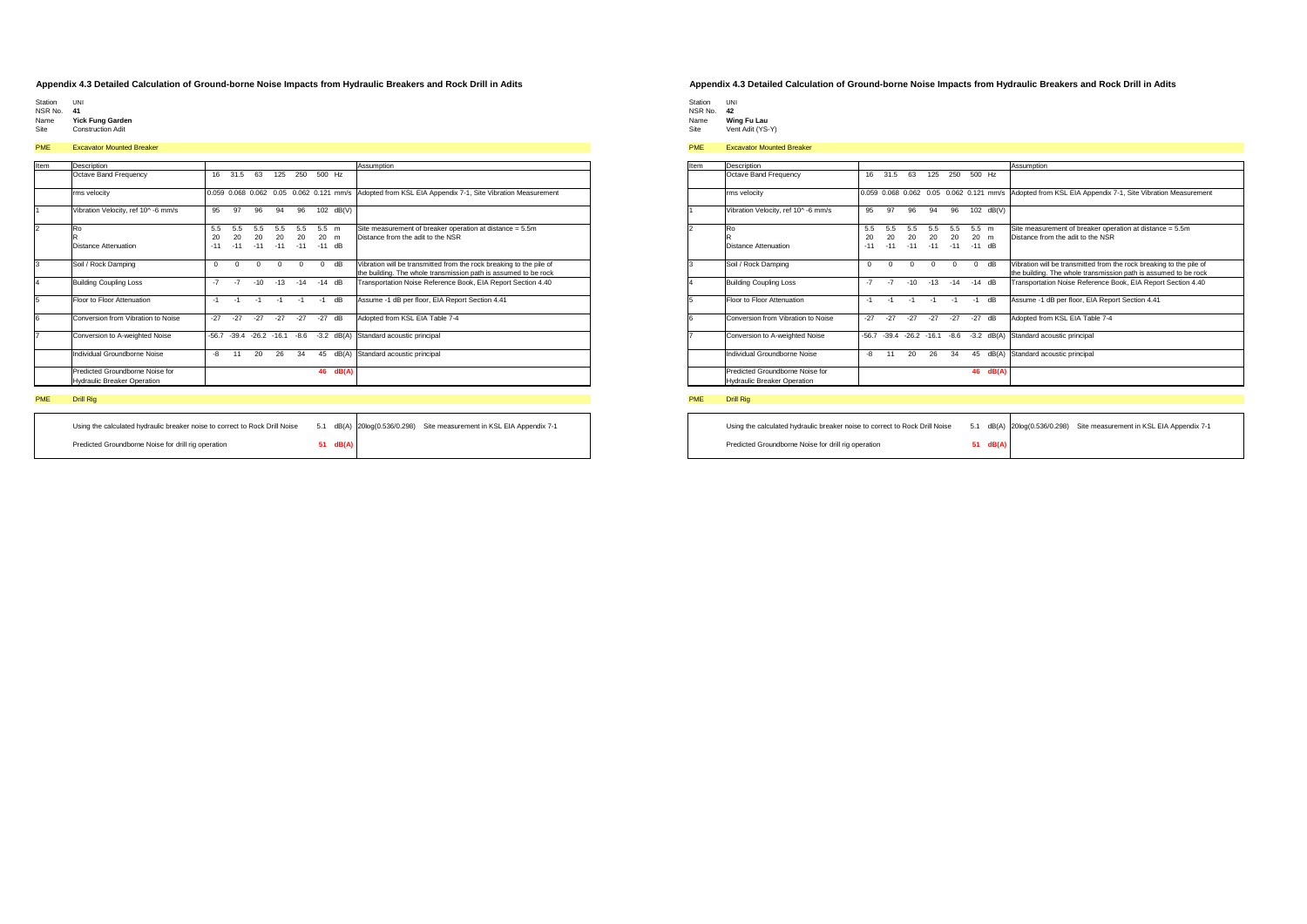- 
- Station UNI NSR No. **41**
- Name **Yick Fung Garden** Site Construction Adit

# PME Excavator Mounted Breaker

| Item | Description                                                           |          |          |                     |          |          |          |       | Assumption                                                                                            |
|------|-----------------------------------------------------------------------|----------|----------|---------------------|----------|----------|----------|-------|-------------------------------------------------------------------------------------------------------|
|      | Octave Band Frequency                                                 | 16       | 31.5     | 63                  | 125      | 250      | 500 Hz   |       |                                                                                                       |
|      | rms velocity                                                          |          |          |                     |          |          |          |       | 0.059 0.068 0.062 0.05 0.062 0.121 mm/s Adopted from KSL EIA Appendix 7-1, Site Vibration Measurement |
|      | Vibration Velocity, ref 10^-6 mm/s                                    | 95       | 97       | 96                  | 94       | 96       | 102      | dB(V) |                                                                                                       |
|      | Ro                                                                    | 5.5      | 5.5      | 5.5                 | 5.5      | 5.5      | 5.5      | m     | Site measurement of breaker operation at distance = 5.5m                                              |
|      | R                                                                     | 20       | 20       | 20                  | 20       | 20       | 20       | m     | Distance from the adit to the NSR                                                                     |
|      | Distance Attenuation                                                  | $-11$    | $-11$    | $-11$               | $-11$    | $-11$    | $-11$    | dB    |                                                                                                       |
|      | Soil / Rock Damping                                                   | $\Omega$ | $\Omega$ | $\Omega$            | $\Omega$ | $\Omega$ | $\Omega$ | dB    | Vibration will be transmitted from the rock breaking to the pile of                                   |
|      |                                                                       |          |          |                     |          |          |          |       | the building. The whole transmission path is assumed to be rock                                       |
|      | <b>Building Coupling Loss</b>                                         | $-7$     | $-7$     | $-10$               | $-13$    | $-14$    | $-14$    | dB    | Transportation Noise Reference Book, EIA Report Section 4.40                                          |
|      | Floor to Floor Attenuation                                            | $-1$     | $-1$     | $-1$                | $-1$     | $-1$     | $-1$     | dB    | Assume -1 dB per floor, EIA Report Section 4.41                                                       |
|      | Conversion from Vibration to Noise                                    | $-27$    | $-27$    | $-27$               | $-27$    | $-27$    | $-27$    | dB    | Adopted from KSL EIA Table 7-4                                                                        |
|      | Conversion to A-weighted Noise                                        | $-56.7$  |          | $-39.4 -26.2 -16.1$ |          | $-8.6$   | $-3.2$   | dB(A) | Standard acoustic principal                                                                           |
|      | Individual Groundborne Noise                                          | $-8$     | 11       | 20                  | 26       | 34       | 45       | dB(A) | Standard acoustic principal                                                                           |
|      | Predicted Groundborne Noise for<br><b>Hydraulic Breaker Operation</b> |          |          |                     |          |          | 46       | dB(A) |                                                                                                       |

## PME Drill Rig

| Using the calculated hydraulic breaker noise to correct to Rock Drill Noise |          | 5.1 dB(A) 20log(0.536/0.298) Site measurement in KSL EIA Appendix 7-1 |
|-----------------------------------------------------------------------------|----------|-----------------------------------------------------------------------|
| Predicted Groundborne Noise for drill rig operation                         | 51 dB(A) |                                                                       |

### **Appendix 4.3 Detailed Calculation of Ground-borne Noise Impacts from Hydraulic Breakers and Rock Drill in Adits**

| Station | I INI |
|---------|-------|
| NSR No  | 42    |

- 
- Name **Wing Fu Lau** Site Vent Adit (YS-Y)

# PME Excavator Mounted Breaker

| Item           | Description                                                           |          |          |                     |       |          |          |                                         | Assumption                                                          |
|----------------|-----------------------------------------------------------------------|----------|----------|---------------------|-------|----------|----------|-----------------------------------------|---------------------------------------------------------------------|
|                | Octave Band Frequency                                                 | 16       | 31.5     | 63                  | 125   | 250      | 500 Hz   |                                         |                                                                     |
|                | rms velocity                                                          |          |          |                     |       |          |          | 0.059 0.068 0.062 0.05 0.062 0.121 mm/s | Adopted from KSL EIA Appendix 7-1, Site Vibration Measurement       |
| $\overline{1}$ | Vibration Velocity, ref 10^-6 mm/s                                    | 95       | 97       | 96                  | 94    | 96       |          | 102 dB(V)                               |                                                                     |
| $\overline{2}$ | Ro                                                                    | 5.5      | 5.5      | 5.5                 | 5.5   | 5.5      | 5.5 m    |                                         | Site measurement of breaker operation at distance = 5.5m            |
|                | R                                                                     | 20       | 20       | 20                  | 20    | 20       | 20       | m                                       | Distance from the adit to the NSR                                   |
|                | Distance Attenuation                                                  | $-11$    | $-11$    | $-11$               | $-11$ | $-11$    | $-11$ dB |                                         |                                                                     |
| 3              | Soil / Rock Damping                                                   | $\Omega$ | $\Omega$ | $\Omega$            | O     | $\Omega$ | $\Omega$ | dB                                      | Vibration will be transmitted from the rock breaking to the pile of |
|                |                                                                       |          |          |                     |       |          |          |                                         | the building. The whole transmission path is assumed to be rock     |
| 4              | <b>Building Coupling Loss</b>                                         | $-7$     | $-7$     | $-10$               | $-13$ | $-14$    | $-14$ dB |                                         | Transportation Noise Reference Book, EIA Report Section 4.40        |
| 5              | Floor to Floor Attenuation                                            | $-1$     | $-1$     | $-1$                | $-1$  | $-1$     | $-1$     | dB                                      | Assume -1 dB per floor, EIA Report Section 4.41                     |
| 6              | Conversion from Vibration to Noise                                    | $-27$    | $-27$    | $-27$               | $-27$ | $-27$    | $-27$    | dB                                      | Adopted from KSL EIA Table 7-4                                      |
| 7              | Conversion to A-weighted Noise                                        | $-56.7$  |          | $-39.4 -26.2 -16.1$ |       | $-8.6$   | $-3.2$   | dB(A)                                   | Standard acoustic principal                                         |
|                | Individual Groundborne Noise                                          | -8       | 11       | 20                  | 26    | 34       | 45       | dB(A)                                   | Standard acoustic principal                                         |
|                | Predicted Groundborne Noise for<br><b>Hydraulic Breaker Operation</b> |          |          |                     |       |          | 46       | dB(A)                                   |                                                                     |

| Using the calculated hydraulic breaker noise to correct to Rock Drill Noise | 5.1 |                    | dB(A) 20log(0.536/0.298) Site measurement in KSL EIA Appendix 7-1 |
|-----------------------------------------------------------------------------|-----|--------------------|-------------------------------------------------------------------|
| Predicted Groundborne Noise for drill rig operation                         |     | $51 \text{ dB}(A)$ |                                                                   |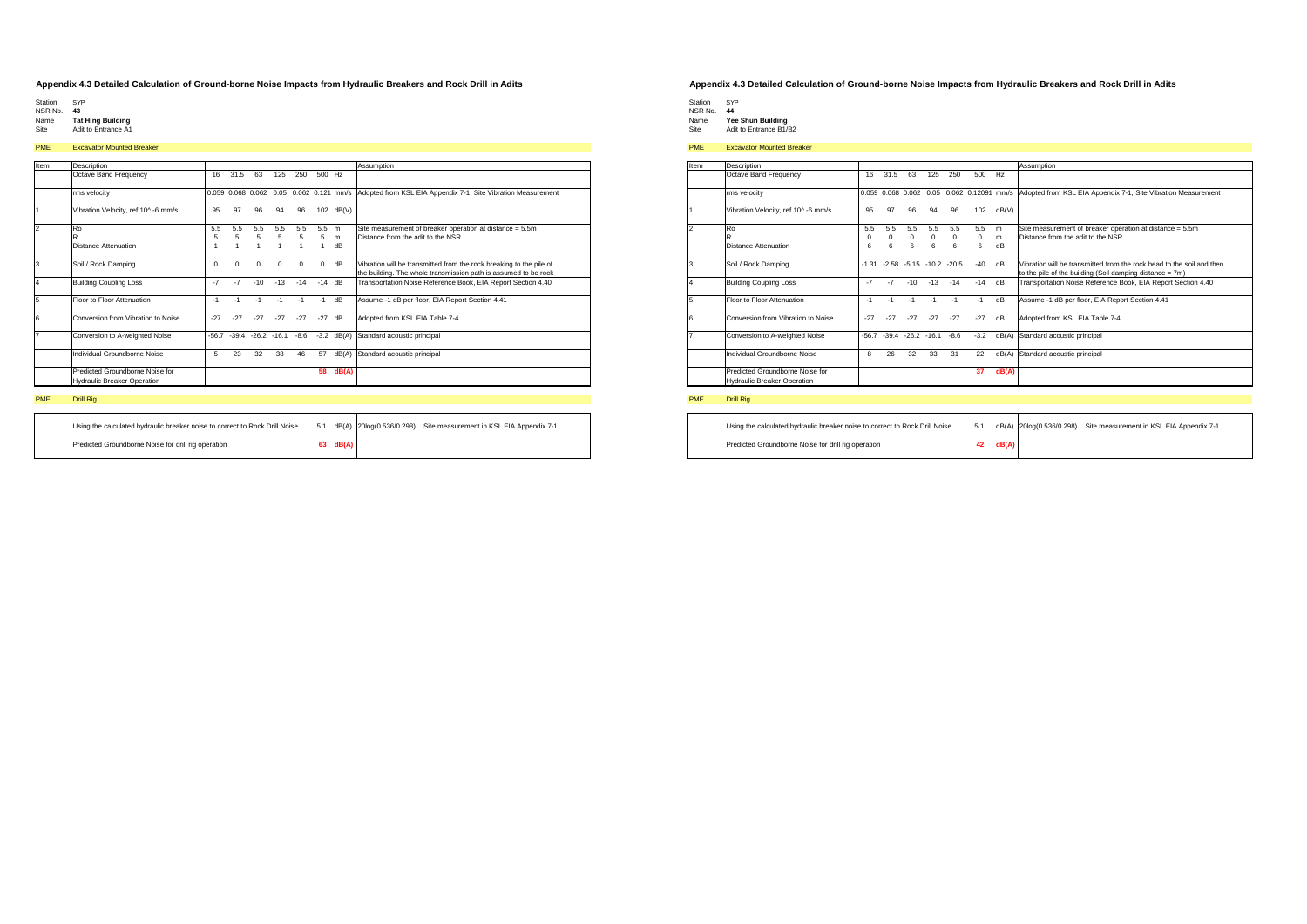- 
- Station SYP NSR No. **43**
- Name **Tat Hing Building** Site Adit to Entrance A1

# PME Excavator Mounted Breaker

| Item | <b>Description</b>                                                    |          |          |                                         |       |          |          |       | Assumption                                                          |
|------|-----------------------------------------------------------------------|----------|----------|-----------------------------------------|-------|----------|----------|-------|---------------------------------------------------------------------|
|      | Octave Band Frequency                                                 | 16       | 31.5     | 63                                      | 125   | 250      | 500 Hz   |       |                                                                     |
|      | rms velocity                                                          |          |          | 0.059 0.068 0.062 0.05 0.062 0.121 mm/s |       |          |          |       | Adopted from KSL EIA Appendix 7-1, Site Vibration Measurement       |
|      | Vibration Velocity, ref 10^ -6 mm/s                                   | 95       | 97       | 96                                      | 94    | 96       | 102      | dB(V) |                                                                     |
|      | Ro                                                                    | 5.5      | 5.5      | 5.5                                     | 5.5   | 5.5      | 5.5      | m     | Site measurement of breaker operation at distance = 5.5m            |
|      | R                                                                     | 5        | 5        | 5                                       | 5     | 5        | 5        | m     | Distance from the adit to the NSR                                   |
|      | <b>Distance Attenuation</b>                                           |          |          | $\mathbf{1}$                            |       | 1        |          | dB    |                                                                     |
|      | Soil / Rock Damping                                                   | $\Omega$ | $\Omega$ | $\Omega$                                | 0     | $\Omega$ | $\Omega$ | dB    | Vibration will be transmitted from the rock breaking to the pile of |
|      |                                                                       |          |          |                                         |       |          |          |       | the building. The whole transmission path is assumed to be rock     |
|      | <b>Building Coupling Loss</b>                                         | $-7$     | $-7$     | $-10$                                   | $-13$ | $-14$    | $-14$    | dB    | Transportation Noise Reference Book, EIA Report Section 4.40        |
| 5    | Floor to Floor Attenuation                                            | $-1$     | $-1$     | $-1$                                    | $-1$  | $-1$     | $-1$     | dB    | Assume -1 dB per floor, EIA Report Section 4.41                     |
| 6    | Conversion from Vibration to Noise                                    | $-27$    | $-27$    | $-27$                                   | $-27$ | $-27$    | $-27$    | dB    | Adopted from KSL EIA Table 7-4                                      |
|      | Conversion to A-weighted Noise                                        | $-56.7$  |          | $-39.4 -26.2 -16.1$                     |       | $-8.6$   | $-3.2$   | dB(A) | Standard acoustic principal                                         |
|      | Individual Groundborne Noise                                          | 5        | 23       | 32                                      | 38    | 46       | 57       | dB(A) | Standard acoustic principal                                         |
|      | Predicted Groundborne Noise for<br><b>Hydraulic Breaker Operation</b> |          |          |                                         |       |          | 58       | dB(A) |                                                                     |

## PME Drill Rig

| Using the calculated hydraulic breaker noise to correct to Rock Drill Noise |          | 5.1 dB(A) 20log(0.536/0.298) | Site measurement in KSL EIA Appendix 7-1 |
|-----------------------------------------------------------------------------|----------|------------------------------|------------------------------------------|
| Predicted Groundborne Noise for drill rig operation                         | 63 dB(A) |                              |                                          |

### **Appendix 4.3 Detailed Calculation of Ground-borne Noise Impacts from Hydraulic Breakers and Rock Drill in Adits**

- Station SYP NSR No. **44**
- Name **Yee Shun Building** Site Adit to Entrance B1/B2

# PME Excavator Mounted Breaker

| Item           | Description                                                           |          |                   |                     |       |         |        |       | Assumption                                                                                                                        |
|----------------|-----------------------------------------------------------------------|----------|-------------------|---------------------|-------|---------|--------|-------|-----------------------------------------------------------------------------------------------------------------------------------|
|                | Octave Band Frequency                                                 | 16       | 31.5              | 63                  | 125   | 250     | 500    | Hz    |                                                                                                                                   |
|                | rms velocity                                                          |          | 0.059 0.068 0.062 |                     | 0.05  |         |        |       | 0.062 0.12091 mm/s Adopted from KSL EIA Appendix 7-1, Site Vibration Measurement                                                  |
|                | Vibration Velocity, ref 10^-6 mm/s                                    | 95       | 97                | 96                  | 94    | 96      | 102    | dB(V) |                                                                                                                                   |
| $\mathfrak{p}$ | Ro                                                                    | 5.5      | 5.5               | 5.5                 | 5.5   | 5.5     | 5.5    | m     | Site measurement of breaker operation at distance = 5.5m                                                                          |
|                |                                                                       | $\Omega$ | $\Omega$          | $\Omega$            | 0     | 0       | 0      | m     | Distance from the adit to the NSR                                                                                                 |
|                | Distance Attenuation                                                  | 6        | 6                 | 6                   | 6     | 6       | 6      | dB    |                                                                                                                                   |
| 3              | Soil / Rock Damping                                                   | $-1.31$  | $-2.58$           | $-5.15 - 10.2$      |       | $-20.5$ | $-40$  | dB    | Vibration will be transmitted from the rock head to the soil and then<br>to the pile of the building (Soil damping distance = 7m) |
| 4              | <b>Building Coupling Loss</b>                                         | $-7$     | $-7$              | $-10$               | $-13$ | $-14$   | $-14$  | dB    | Transportation Noise Reference Book, EIA Report Section 4.40                                                                      |
| 5              | Floor to Floor Attenuation                                            | $-1$     | $-1$              | $-1$                | $-1$  | $-1$    | $-1$   | dB    | Assume -1 dB per floor, EIA Report Section 4.41                                                                                   |
| 6              | Conversion from Vibration to Noise                                    | $-27$    | $-27$             | $-27$               | $-27$ | $-27$   | $-27$  | dB    | Adopted from KSL EIA Table 7-4                                                                                                    |
| $\overline{7}$ | Conversion to A-weighted Noise                                        | $-56.7$  |                   | $-39.4 -26.2 -16.1$ |       | $-8.6$  | $-3.2$ | dB(A) | Standard acoustic principal                                                                                                       |
|                | Individual Groundborne Noise                                          | 8        | 26                | 32                  | 33    | 31      | 22     | dB(A) | Standard acoustic principal                                                                                                       |
|                | Predicted Groundborne Noise for<br><b>Hydraulic Breaker Operation</b> |          |                   |                     |       |         | 37     | dB(A) |                                                                                                                                   |

| Using the calculated hydraulic breaker noise to correct to Rock Drill Noise | 5.1 |       | dB(A) 20log(0.536/0.298) | Site measurement in KSL EIA Appendix 7-1 |
|-----------------------------------------------------------------------------|-----|-------|--------------------------|------------------------------------------|
| Predicted Groundborne Noise for drill rig operation                         | 42  | dB(A) |                          |                                          |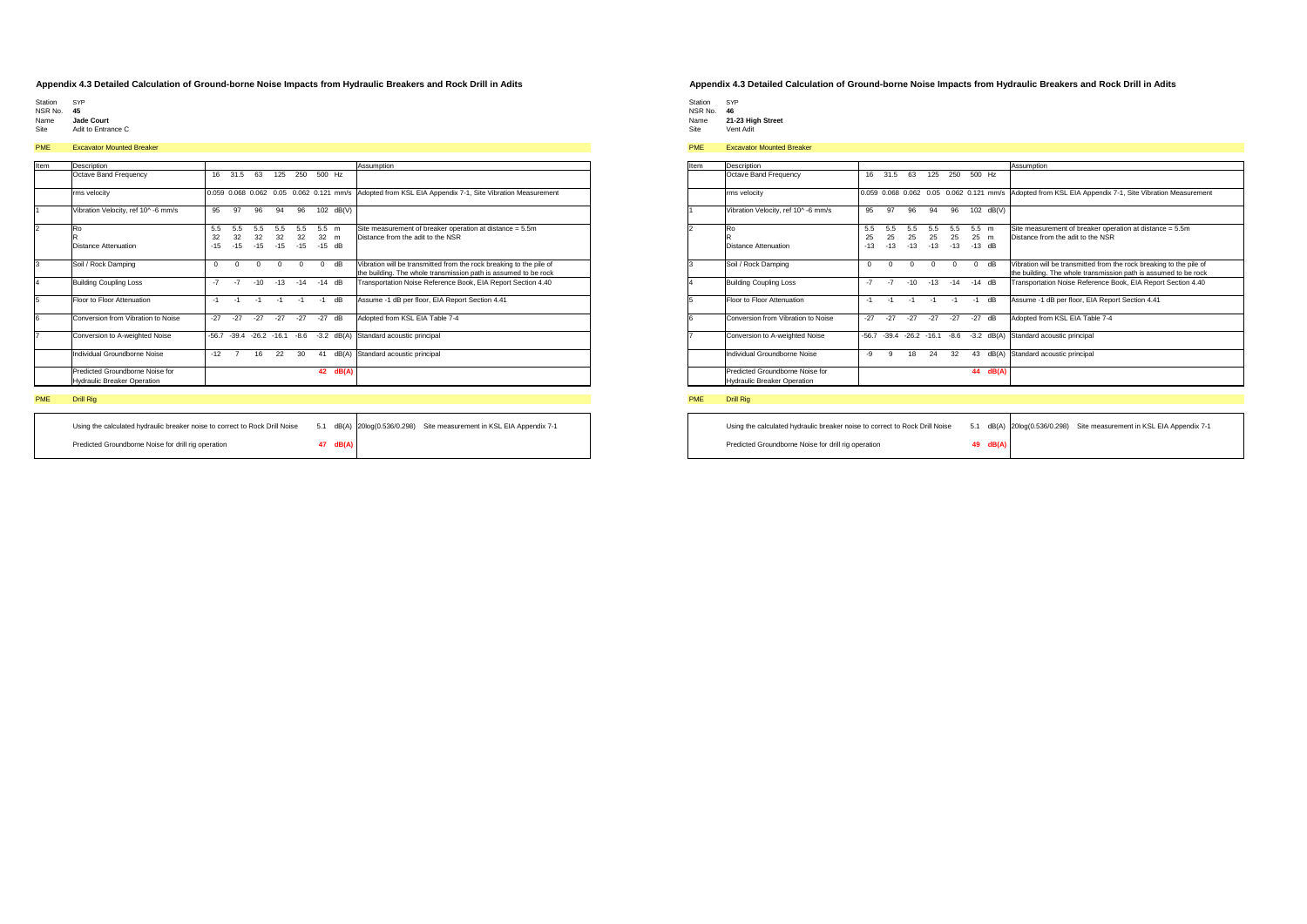- 
- Station SYP NSR No. **45**
- Name **Jade Court** Site Adit to Entrance C

# PME Excavator Mounted Breaker

| Item | Description                                                           |          |                |                     |       |          |          |                                         | Assumption                                                          |
|------|-----------------------------------------------------------------------|----------|----------------|---------------------|-------|----------|----------|-----------------------------------------|---------------------------------------------------------------------|
|      | Octave Band Frequency                                                 | 16       | 31.5           | 63                  | 125   | 250      | 500      | Hz                                      |                                                                     |
|      | rms velocity                                                          |          |                |                     |       |          |          | 0.059 0.068 0.062 0.05 0.062 0.121 mm/s | Adopted from KSL EIA Appendix 7-1, Site Vibration Measurement       |
|      | Vibration Velocity, ref 10^-6 mm/s                                    | 95       | 97             | 96                  | 94    | 96       | 102      | dB(V)                                   |                                                                     |
|      | R <sub>0</sub>                                                        | 5.5      | 5.5            | 5.5                 | 5.5   | 5.5      | 5.5      | m                                       | Site measurement of breaker operation at distance = 5.5m            |
|      | R                                                                     | 32       | 32             | 32                  | 32    | 32       | 32       | m                                       | Distance from the adit to the NSR                                   |
|      | Distance Attenuation                                                  | $-15$    | $-15$          | $-15$               | $-15$ | $-15$    | $-15$    | dB                                      |                                                                     |
|      | Soil / Rock Damping                                                   | $\Omega$ | $\Omega$       | $\Omega$            | 0     | $\Omega$ | $\Omega$ | dB                                      | Vibration will be transmitted from the rock breaking to the pile of |
|      |                                                                       |          |                |                     |       |          |          |                                         | the building. The whole transmission path is assumed to be rock     |
|      | <b>Building Coupling Loss</b>                                         | $-7$     | $-7$           | $-10$               | $-13$ | $-14$    | $-14$    | dB                                      | Transportation Noise Reference Book, EIA Report Section 4.40        |
| 5    | Floor to Floor Attenuation                                            | $-1$     | $-1$           | $-1$                | $-1$  | $-1$     | $-1$     | dB                                      | Assume -1 dB per floor, EIA Report Section 4.41                     |
| ĥ    | Conversion from Vibration to Noise                                    | $-27$    | $-27$          | $-27$               | $-27$ | $-27$    | $-27$    | dB                                      | Adopted from KSL EIA Table 7-4                                      |
|      | Conversion to A-weighted Noise                                        | $-56.7$  |                | $-39.4 -26.2 -16.1$ |       | $-8.6$   | $-3.2$   | dB(A)                                   | Standard acoustic principal                                         |
|      | Individual Groundborne Noise                                          | $-12$    | $\overline{7}$ | 16                  | 22    | 30       | 41       | dB(A)                                   | Standard acoustic principal                                         |
|      | Predicted Groundborne Noise for<br><b>Hydraulic Breaker Operation</b> |          |                |                     |       |          | 42       | dB(A)                                   |                                                                     |

## PME Drill Rig

| Using the calculated hydraulic breaker noise to correct to Rock Drill Noise |          | 5.1 dB(A) 20log(0.536/0.298) | Site measurement in KSL EIA Appendix 7-1 |
|-----------------------------------------------------------------------------|----------|------------------------------|------------------------------------------|
| Predicted Groundborne Noise for drill rig operation                         | 47 dB(A) |                              |                                          |

### **Appendix 4.3 Detailed Calculation of Ground-borne Noise Impacts from Hydraulic Breakers and Rock Drill in Adits**

Station SYP NSR No. **46** Name **21-23 High Street** Site Vent Adit

# PME Excavator Mounted Breaker

| Item           | Description                                                           |          |                        |                     |          |          |          |       | Assumption                                                                                                                             |
|----------------|-----------------------------------------------------------------------|----------|------------------------|---------------------|----------|----------|----------|-------|----------------------------------------------------------------------------------------------------------------------------------------|
|                | Octave Band Frequency                                                 | 16       | 31.5                   | 63                  | 125      | 250      | 500 Hz   |       |                                                                                                                                        |
|                | rms velocity                                                          |          | 0.059 0.068 0.062 0.05 |                     |          |          |          |       | 0.062 0.121 mm/s Adopted from KSL EIA Appendix 7-1, Site Vibration Measurement                                                         |
|                | Vibration Velocity, ref 10^-6 mm/s                                    | 95       | 97                     | 96                  | 94       | 96       | 102      | dB(V) |                                                                                                                                        |
| $\mathfrak{p}$ | Ro                                                                    | 5.5      | 5.5                    | 5.5                 | 5.5      | 5.5      | 5.5 m    |       | Site measurement of breaker operation at distance = 5.5m                                                                               |
|                | R                                                                     | 25       | 25                     | 25                  | 25       | 25       | 25 m     |       | Distance from the adit to the NSR                                                                                                      |
|                | <b>Distance Attenuation</b>                                           | $-13$    | $-13$                  | $-13$               | $-13$    | $-13$    | $-13$ dB |       |                                                                                                                                        |
| 3              | Soil / Rock Damping                                                   | $\Omega$ | $\Omega$               | $\Omega$            | $\Omega$ | $\Omega$ | $\Omega$ | dB    | Vibration will be transmitted from the rock breaking to the pile of<br>the building. The whole transmission path is assumed to be rock |
| 4              | <b>Building Coupling Loss</b>                                         | $-7$     | $-7$                   | $-10$               | $-13$    | $-14$    | $-14$ dB |       | Transportation Noise Reference Book, EIA Report Section 4.40                                                                           |
| 5              | Floor to Floor Attenuation                                            | $-1$     | $-1$                   | $-1$                | $-1$     | $-1$     | $-1$     | dB    | Assume -1 dB per floor, EIA Report Section 4.41                                                                                        |
| 6              | Conversion from Vibration to Noise                                    | $-27$    | $-27$                  | $-27$               | $-27$    | $-27$    | $-27$    | dB    | Adopted from KSL EIA Table 7-4                                                                                                         |
| $\overline{7}$ | Conversion to A-weighted Noise                                        | $-56.7$  |                        | $-39.4 -26.2 -16.1$ |          | $-8.6$   | $-3.2$   | dB(A) | Standard acoustic principal                                                                                                            |
|                | Individual Groundborne Noise                                          | -9       | 9                      | 18                  | 24       | 32       | 43       | dB(A) | Standard acoustic principal                                                                                                            |
|                | Predicted Groundborne Noise for<br><b>Hydraulic Breaker Operation</b> |          |                        |                     |          |          | 44       | dB(A) |                                                                                                                                        |

| Using the calculated hydraulic breaker noise to correct to Rock Drill Noise | 5.1 |          | dB(A) 20log(0.536/0.298) Site measurement in KSL EIA Appendix 7-1 |  |
|-----------------------------------------------------------------------------|-----|----------|-------------------------------------------------------------------|--|
| Predicted Groundborne Noise for drill rig operation                         |     | 49 dB(A) |                                                                   |  |